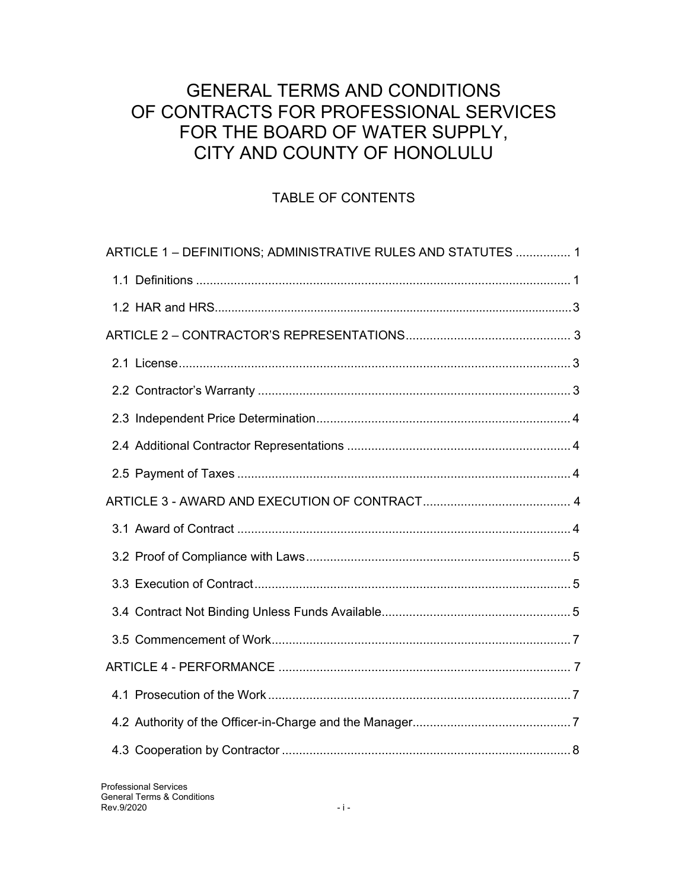# GENERAL TERMS AND CONDITIONS OF CONTRACTS FOR PROFESSIONAL SERVICES FOR THE BOARD OF WATER SUPPLY, CITY AND COUNTY OF HONOLULU

## TABLE OF CONTENTS

| ARTICLE 1 - DEFINITIONS; ADMINISTRATIVE RULES AND STATUTES  1 |
|---------------------------------------------------------------|
|                                                               |
|                                                               |
|                                                               |
|                                                               |
|                                                               |
|                                                               |
|                                                               |
|                                                               |
|                                                               |
|                                                               |
|                                                               |
|                                                               |
|                                                               |
|                                                               |
|                                                               |
|                                                               |
|                                                               |
|                                                               |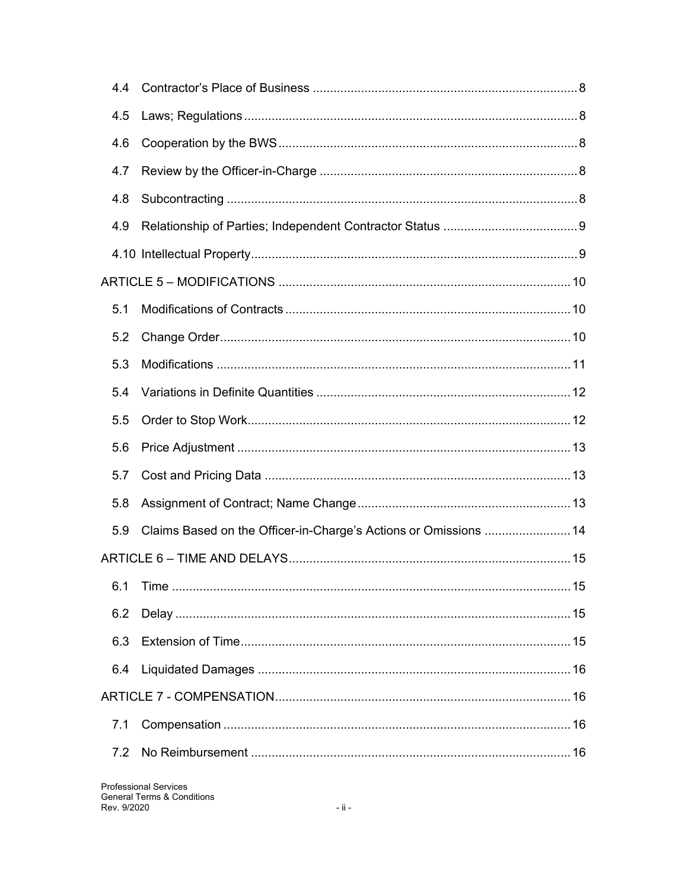| 4.4 |                                                                  |  |
|-----|------------------------------------------------------------------|--|
| 4.5 |                                                                  |  |
| 4.6 |                                                                  |  |
| 4.7 |                                                                  |  |
| 4.8 |                                                                  |  |
| 4.9 |                                                                  |  |
|     |                                                                  |  |
|     |                                                                  |  |
| 5.1 |                                                                  |  |
| 5.2 |                                                                  |  |
| 5.3 |                                                                  |  |
| 5.4 |                                                                  |  |
| 5.5 |                                                                  |  |
| 5.6 |                                                                  |  |
| 5.7 |                                                                  |  |
| 5.8 |                                                                  |  |
| 5.9 | Claims Based on the Officer-in-Charge's Actions or Omissions  14 |  |
|     |                                                                  |  |
|     |                                                                  |  |
| 6.2 |                                                                  |  |
| 6.3 |                                                                  |  |
| 6.4 |                                                                  |  |
|     |                                                                  |  |
| 7.1 |                                                                  |  |
| 7.2 |                                                                  |  |
|     |                                                                  |  |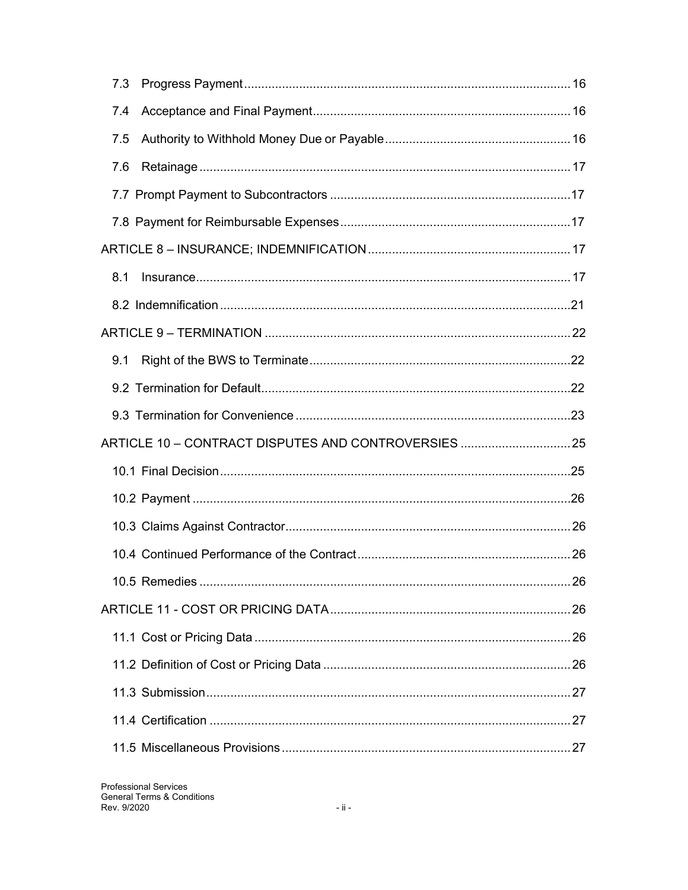| 7.3                                                  |    |  |
|------------------------------------------------------|----|--|
| 7.4                                                  |    |  |
| 7.5                                                  |    |  |
| 7.6                                                  |    |  |
|                                                      |    |  |
|                                                      |    |  |
|                                                      |    |  |
| 8.1                                                  |    |  |
|                                                      |    |  |
|                                                      |    |  |
| 9.1                                                  |    |  |
|                                                      |    |  |
|                                                      |    |  |
| ARTICLE 10 - CONTRACT DISPUTES AND CONTROVERSIES  25 |    |  |
|                                                      |    |  |
|                                                      |    |  |
|                                                      |    |  |
|                                                      |    |  |
|                                                      |    |  |
|                                                      |    |  |
|                                                      |    |  |
|                                                      |    |  |
|                                                      |    |  |
|                                                      |    |  |
|                                                      | 27 |  |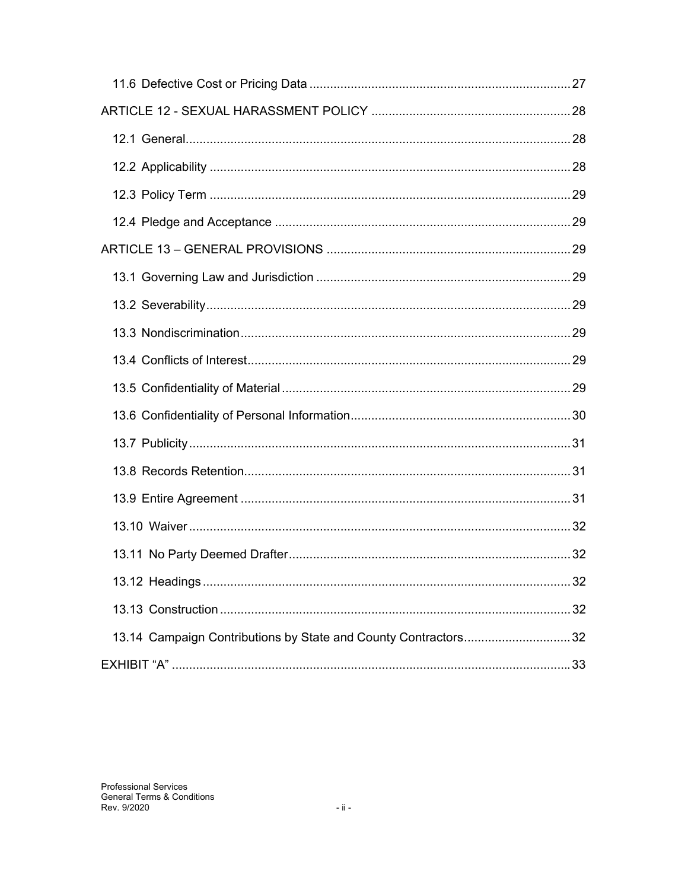| 13.14 Campaign Contributions by State and County Contractors32 |  |  |
|----------------------------------------------------------------|--|--|
|                                                                |  |  |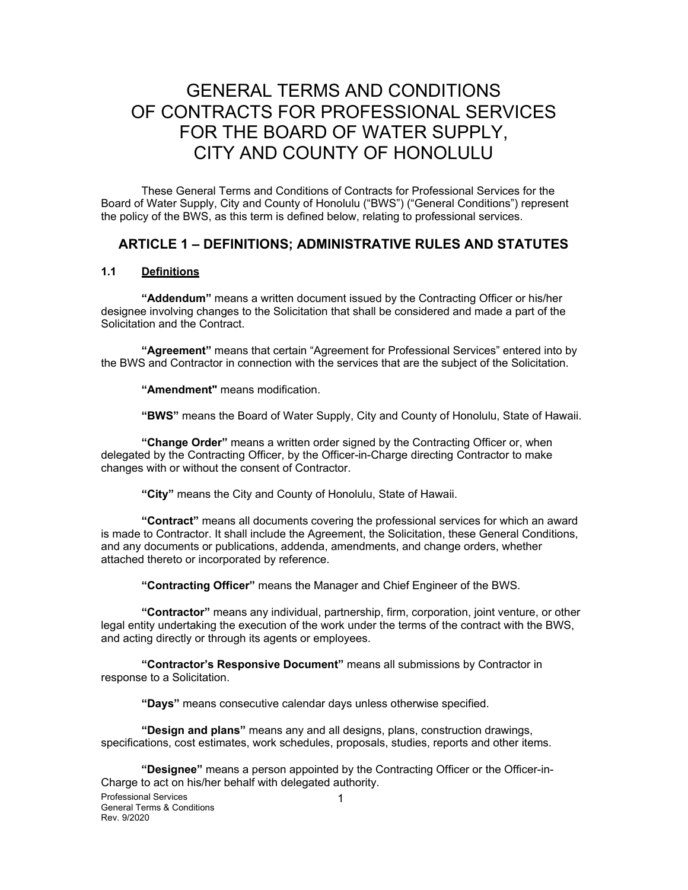## GENERAL TERMS AND CONDITIONS OF CONTRACTS FOR PROFESSIONAL SERVICES FOR THE BOARD OF WATER SUPPLY, CITY AND COUNTY OF HONOLULU

These General Terms and Conditions of Contracts for Professional Services for the Board of Water Supply, City and County of Honolulu ("BWS") ("General Conditions") represent the policy of the BWS, as this term is defined below, relating to professional services.

## **ARTICLE 1 – DEFINITIONS; ADMINISTRATIVE RULES AND STATUTES**

## **1.1 Definitions**

**"Addendum"** means a written document issued by the Contracting Officer or his/her designee involving changes to the Solicitation that shall be considered and made a part of the Solicitation and the Contract.

**"Agreement"** means that certain "Agreement for Professional Services" entered into by the BWS and Contractor in connection with the services that are the subject of the Solicitation.

**"Amendment"** means modification.

**"BWS"** means the Board of Water Supply, City and County of Honolulu, State of Hawaii.

**"Change Order"** means a written order signed by the Contracting Officer or, when delegated by the Contracting Officer, by the Officer-in-Charge directing Contractor to make changes with or without the consent of Contractor.

**"City"** means the City and County of Honolulu, State of Hawaii.

**"Contract"** means all documents covering the professional services for which an award is made to Contractor. It shall include the Agreement, the Solicitation, these General Conditions, and any documents or publications, addenda, amendments, and change orders, whether attached thereto or incorporated by reference.

**"Contracting Officer"** means the Manager and Chief Engineer of the BWS.

**"Contractor"** means any individual, partnership, firm, corporation, joint venture, or other legal entity undertaking the execution of the work under the terms of the contract with the BWS, and acting directly or through its agents or employees.

**"Contractor's Responsive Document"** means all submissions by Contractor in response to a Solicitation.

**"Days"** means consecutive calendar days unless otherwise specified.

**"Design and plans"** means any and all designs, plans, construction drawings, specifications, cost estimates, work schedules, proposals, studies, reports and other items.

**"Designee"** means a person appointed by the Contracting Officer or the Officer-in-Charge to act on his/her behalf with delegated authority.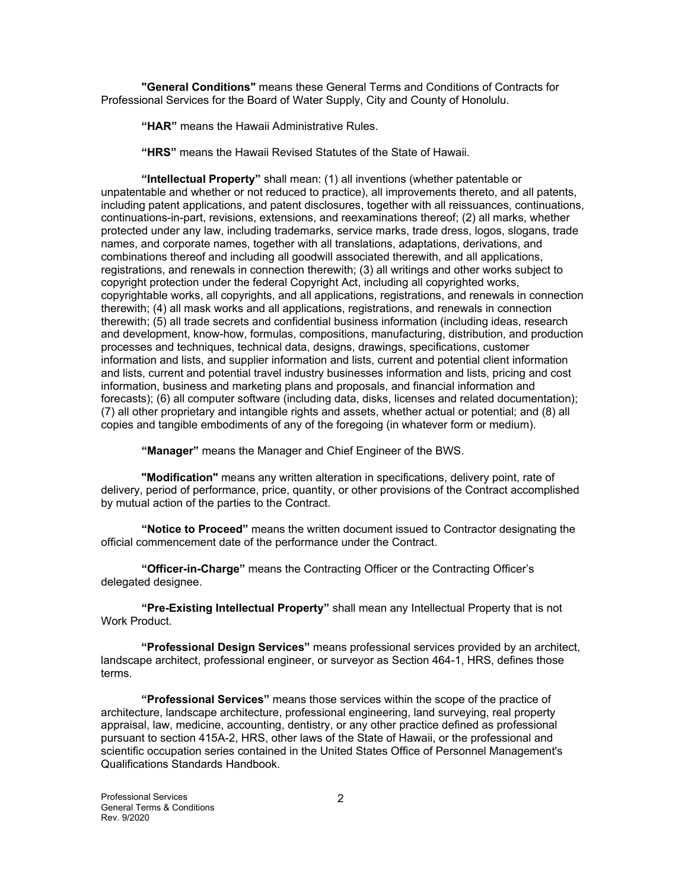**"General Conditions"** means these General Terms and Conditions of Contracts for Professional Services for the Board of Water Supply, City and County of Honolulu.

**"HAR"** means the Hawaii Administrative Rules.

**"HRS"** means the Hawaii Revised Statutes of the State of Hawaii.

**"Intellectual Property"** shall mean: (1) all inventions (whether patentable or unpatentable and whether or not reduced to practice), all improvements thereto, and all patents, including patent applications, and patent disclosures, together with all reissuances, continuations, continuations-in-part, revisions, extensions, and reexaminations thereof; (2) all marks, whether protected under any law, including trademarks, service marks, trade dress, logos, slogans, trade names, and corporate names, together with all translations, adaptations, derivations, and combinations thereof and including all goodwill associated therewith, and all applications, registrations, and renewals in connection therewith; (3) all writings and other works subject to copyright protection under the federal Copyright Act, including all copyrighted works, copyrightable works, all copyrights, and all applications, registrations, and renewals in connection therewith; (4) all mask works and all applications, registrations, and renewals in connection therewith; (5) all trade secrets and confidential business information (including ideas, research and development, know-how, formulas, compositions, manufacturing, distribution, and production processes and techniques, technical data, designs, drawings, specifications, customer information and lists, and supplier information and lists, current and potential client information and lists, current and potential travel industry businesses information and lists, pricing and cost information, business and marketing plans and proposals, and financial information and forecasts); (6) all computer software (including data, disks, licenses and related documentation); (7) all other proprietary and intangible rights and assets, whether actual or potential; and (8) all copies and tangible embodiments of any of the foregoing (in whatever form or medium).

**"Manager"** means the Manager and Chief Engineer of the BWS.

**"Modification"** means any written alteration in specifications, delivery point, rate of delivery, period of performance, price, quantity, or other provisions of the Contract accomplished by mutual action of the parties to the Contract.

**"Notice to Proceed"** means the written document issued to Contractor designating the official commencement date of the performance under the Contract.

**"Officer-in-Charge"** means the Contracting Officer or the Contracting Officer's delegated designee.

**"Pre-Existing Intellectual Property"** shall mean any Intellectual Property that is not Work Product

**"Professional Design Services"** means professional services provided by an architect, landscape architect, professional engineer, or surveyor as Section 464-1, HRS, defines those terms.

**"Professional Services"** means those services within the scope of the practice of architecture, landscape architecture, professional engineering, land surveying, real property appraisal, law, medicine, accounting, dentistry, or any other practice defined as professional pursuant to section 415A-2, HRS, other laws of the State of Hawaii, or the professional and scientific occupation series contained in the United States Office of Personnel Management's Qualifications Standards Handbook.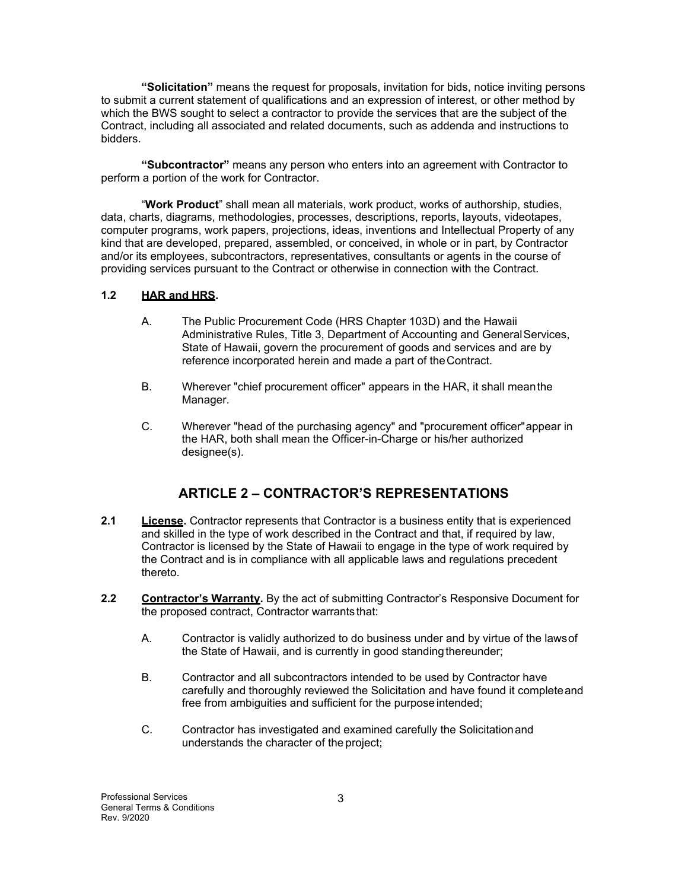**"Solicitation"** means the request for proposals, invitation for bids, notice inviting persons to submit a current statement of qualifications and an expression of interest, or other method by which the BWS sought to select a contractor to provide the services that are the subject of the Contract, including all associated and related documents, such as addenda and instructions to bidders.

**"Subcontractor"** means any person who enters into an agreement with Contractor to perform a portion of the work for Contractor.

"**Work Product**" shall mean all materials, work product, works of authorship, studies, data, charts, diagrams, methodologies, processes, descriptions, reports, layouts, videotapes, computer programs, work papers, projections, ideas, inventions and Intellectual Property of any kind that are developed, prepared, assembled, or conceived, in whole or in part, by Contractor and/or its employees, subcontractors, representatives, consultants or agents in the course of providing services pursuant to the Contract or otherwise in connection with the Contract.

## **1.2 HAR and HRS.**

- A. The Public Procurement Code (HRS Chapter 103D) and the Hawaii Administrative Rules, Title 3, Department of Accounting and General Services, State of Hawaii, govern the procurement of goods and services and are by reference incorporated herein and made a part of the Contract.
- B. Wherever "chief procurement officer" appears in the HAR, it shall mean the Manager.
- C. Wherever "head of the purchasing agency" and "procurement officer" appear in the HAR, both shall mean the Officer-in-Charge or his/her authorized designee(s).

## **ARTICLE 2 – CONTRACTOR'S REPRESENTATIONS**

- **2.1 License.** Contractor represents that Contractor is a business entity that is experienced and skilled in the type of work described in the Contract and that, if required by law, Contractor is licensed by the State of Hawaii to engage in the type of work required by the Contract and is in compliance with all applicable laws and regulations precedent thereto.
- **2.2 Contractor's Warranty.** By the act of submitting Contractor's Responsive Document for the proposed contract, Contractor warrants that:
	- A. Contractor is validly authorized to do business under and by virtue of the laws of the State of Hawaii, and is currently in good standing thereunder;
	- B. Contractor and all subcontractors intended to be used by Contractor have carefully and thoroughly reviewed the Solicitation and have found it complete and free from ambiguities and sufficient for the purpose intended;
	- C. Contractor has investigated and examined carefully the Solicitation and understands the character of the project;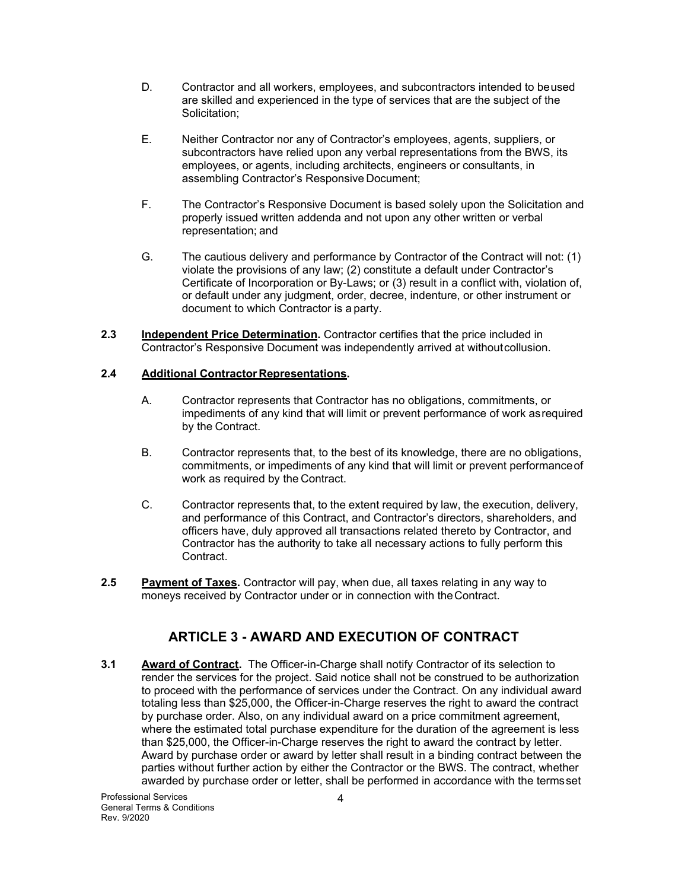- D. Contractor and all workers, employees, and subcontractors intended to be used are skilled and experienced in the type of services that are the subject of the Solicitation;
- E. Neither Contractor nor any of Contractor's employees, agents, suppliers, or subcontractors have relied upon any verbal representations from the BWS, its employees, or agents, including architects, engineers or consultants, in assembling Contractor's Responsive Document;
- F. The Contractor's Responsive Document is based solely upon the Solicitation and properly issued written addenda and not upon any other written or verbal representation; and
- G. The cautious delivery and performance by Contractor of the Contract will not: (1) violate the provisions of any law; (2) constitute a default under Contractor's Certificate of Incorporation or By-Laws; or (3) result in a conflict with, violation of, or default under any judgment, order, decree, indenture, or other instrument or document to which Contractor is a party.
- **2.3** Independent Price Determination. Contractor certifies that the price included in Contractor's Responsive Document was independently arrived at without collusion.

## **2.4 Additional Contractor Representations.**

- A. Contractor represents that Contractor has no obligations, commitments, or impediments of any kind that will limit or prevent performance of work as required by the Contract.
- B. Contractor represents that, to the best of its knowledge, there are no obligations, commitments, or impediments of any kind that will limit or prevent performance of work as required by the Contract.
- C. Contractor represents that, to the extent required by law, the execution, delivery, and performance of this Contract, and Contractor's directors, shareholders, and officers have, duly approved all transactions related thereto by Contractor, and Contractor has the authority to take all necessary actions to fully perform this Contract.
- **2.5 Payment of Taxes.** Contractor will pay, when due, all taxes relating in any way to moneys received by Contractor under or in connection with the Contract.

## **ARTICLE 3 - AWARD AND EXECUTION OF CONTRACT**

**3.1 Award of Contract.** The Officer-in-Charge shall notify Contractor of its selection to render the services for the project. Said notice shall not be construed to be authorization to proceed with the performance of services under the Contract. On any individual award totaling less than \$25,000, the Officer-in-Charge reserves the right to award the contract by purchase order. Also, on any individual award on a price commitment agreement, where the estimated total purchase expenditure for the duration of the agreement is less than \$25,000, the Officer-in-Charge reserves the right to award the contract by letter. Award by purchase order or award by letter shall result in a binding contract between the parties without further action by either the Contractor or the BWS. The contract, whether awarded by purchase order or letter, shall be performed in accordance with the terms set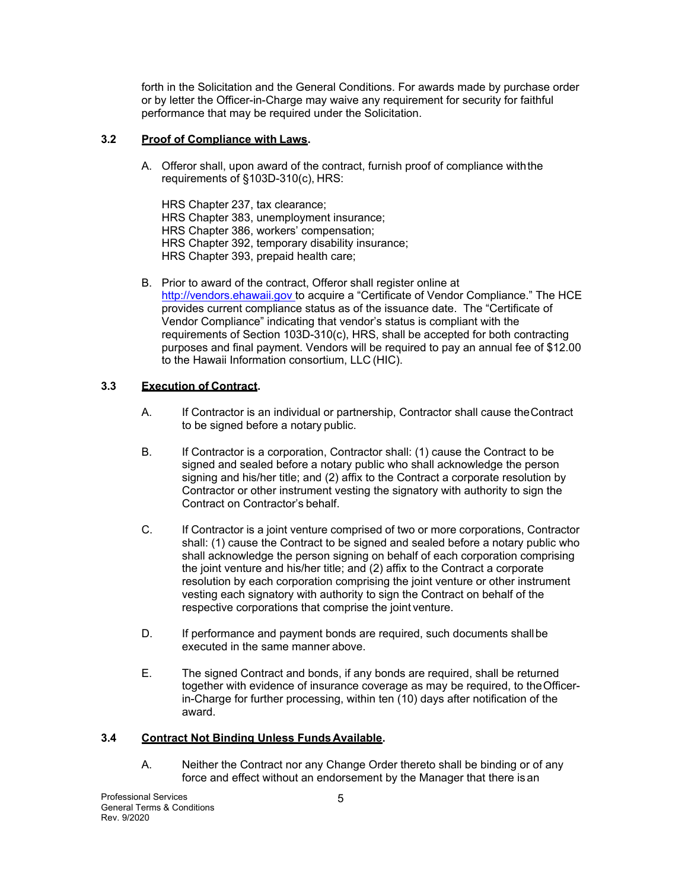forth in the Solicitation and the General Conditions. For awards made by purchase order or by letter the Officer-in-Charge may waive any requirement for security for faithful performance that may be required under the Solicitation.

## **3.2 Proof of Compliance with Laws.**

A. Offeror shall, upon award of the contract, furnish proof of compliance with the requirements of §103D-310(c), HRS:

HRS Chapter 237, tax clearance; HRS Chapter 383, unemployment insurance; HRS Chapter 386, workers' compensation; HRS Chapter 392, temporary disability insurance; HRS Chapter 393, prepaid health care;

B. Prior to award of the contract, Offeror shall register online at http://vendors.ehawaii.gov to acquire a "Certificate of Vendor Compliance." The HCE provides current compliance status as of the issuance date. The "Certificate of Vendor Compliance" indicating that vendor's status is compliant with the requirements of Section 103D-310(c), HRS, shall be accepted for both contracting purposes and final payment. Vendors will be required to pay an annual fee of \$12.00 to the Hawaii Information consortium, LLC (HIC).

## **3.3 Execution of Contract.**

- A. If Contractor is an individual or partnership, Contractor shall cause the Contract to be signed before a notary public.
- B. If Contractor is a corporation, Contractor shall: (1) cause the Contract to be signed and sealed before a notary public who shall acknowledge the person signing and his/her title; and (2) affix to the Contract a corporate resolution by Contractor or other instrument vesting the signatory with authority to sign the Contract on Contractor's behalf.
- C. If Contractor is a joint venture comprised of two or more corporations, Contractor shall: (1) cause the Contract to be signed and sealed before a notary public who shall acknowledge the person signing on behalf of each corporation comprising the joint venture and his/her title; and (2) affix to the Contract a corporate resolution by each corporation comprising the joint venture or other instrument vesting each signatory with authority to sign the Contract on behalf of the respective corporations that comprise the joint venture.
- D. If performance and payment bonds are required, such documents shall be executed in the same manner above.
- E. The signed Contract and bonds, if any bonds are required, shall be returned together with evidence of insurance coverage as may be required, to the Officerin-Charge for further processing, within ten (10) days after notification of the award.

## **3.4 Contract Not Binding Unless Funds Available.**

A. Neither the Contract nor any Change Order thereto shall be binding or of any force and effect without an endorsement by the Manager that there is an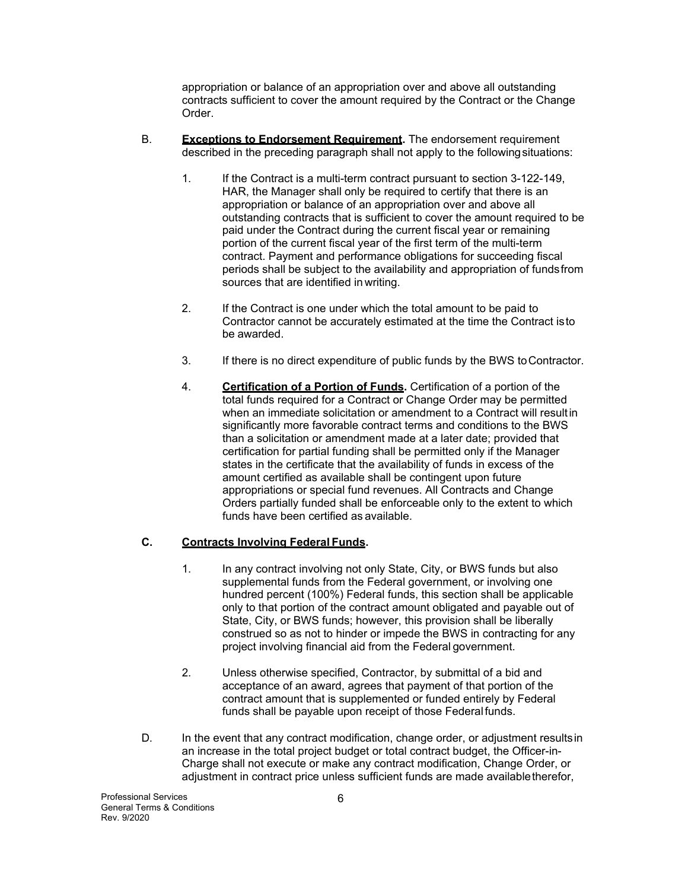appropriation or balance of an appropriation over and above all outstanding contracts sufficient to cover the amount required by the Contract or the Change Order.

- B. **Exceptions to Endorsement Requirement.** The endorsement requirement described in the preceding paragraph shall not apply to the following situations:
	- 1. If the Contract is a multi-term contract pursuant to section 3-122-149, HAR, the Manager shall only be required to certify that there is an appropriation or balance of an appropriation over and above all outstanding contracts that is sufficient to cover the amount required to be paid under the Contract during the current fiscal year or remaining portion of the current fiscal year of the first term of the multi-term contract. Payment and performance obligations for succeeding fiscal periods shall be subject to the availability and appropriation of funds from sources that are identified in writing.
	- 2. If the Contract is one under which the total amount to be paid to Contractor cannot be accurately estimated at the time the Contract is to be awarded.
	- 3. If there is no direct expenditure of public funds by the BWS to Contractor.
	- 4. **Certification of a Portion of Funds.** Certification of a portion of the total funds required for a Contract or Change Order may be permitted when an immediate solicitation or amendment to a Contract will result in significantly more favorable contract terms and conditions to the BWS than a solicitation or amendment made at a later date; provided that certification for partial funding shall be permitted only if the Manager states in the certificate that the availability of funds in excess of the amount certified as available shall be contingent upon future appropriations or special fund revenues. All Contracts and Change Orders partially funded shall be enforceable only to the extent to which funds have been certified as available.

## **C. Contracts Involving Federal Funds.**

- 1. In any contract involving not only State, City, or BWS funds but also supplemental funds from the Federal government, or involving one hundred percent (100%) Federal funds, this section shall be applicable only to that portion of the contract amount obligated and payable out of State, City, or BWS funds; however, this provision shall be liberally construed so as not to hinder or impede the BWS in contracting for any project involving financial aid from the Federal government.
- 2. Unless otherwise specified, Contractor, by submittal of a bid and acceptance of an award, agrees that payment of that portion of the contract amount that is supplemented or funded entirely by Federal funds shall be payable upon receipt of those Federal funds.
- D. In the event that any contract modification, change order, or adjustment results in an increase in the total project budget or total contract budget, the Officer-in-Charge shall not execute or make any contract modification, Change Order, or adjustment in contract price unless sufficient funds are made available therefor,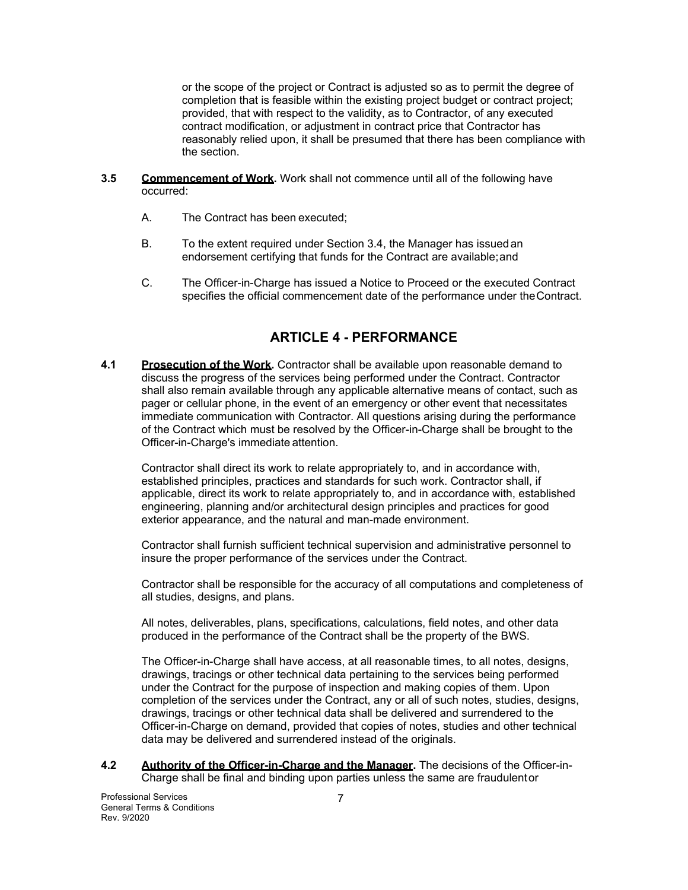or the scope of the project or Contract is adjusted so as to permit the degree of completion that is feasible within the existing project budget or contract project; provided, that with respect to the validity, as to Contractor, of any executed contract modification, or adjustment in contract price that Contractor has reasonably relied upon, it shall be presumed that there has been compliance with the section.

- **3.5 Commencement of Work.** Work shall not commence until all of the following have occurred:
	- A. The Contract has been executed;
	- B. To the extent required under Section 3.4, the Manager has issued an endorsement certifying that funds for the Contract are available; and
	- C. The Officer-in-Charge has issued a Notice to Proceed or the executed Contract specifies the official commencement date of the performance under the Contract.

## **ARTICLE 4 - PERFORMANCE**

**4.1 Prosecution of the Work.** Contractor shall be available upon reasonable demand to discuss the progress of the services being performed under the Contract. Contractor shall also remain available through any applicable alternative means of contact, such as pager or cellular phone, in the event of an emergency or other event that necessitates immediate communication with Contractor. All questions arising during the performance of the Contract which must be resolved by the Officer-in-Charge shall be brought to the Officer-in-Charge's immediate attention.

Contractor shall direct its work to relate appropriately to, and in accordance with, established principles, practices and standards for such work. Contractor shall, if applicable, direct its work to relate appropriately to, and in accordance with, established engineering, planning and/or architectural design principles and practices for good exterior appearance, and the natural and man-made environment.

Contractor shall furnish sufficient technical supervision and administrative personnel to insure the proper performance of the services under the Contract.

Contractor shall be responsible for the accuracy of all computations and completeness of all studies, designs, and plans.

All notes, deliverables, plans, specifications, calculations, field notes, and other data produced in the performance of the Contract shall be the property of the BWS.

The Officer-in-Charge shall have access, at all reasonable times, to all notes, designs, drawings, tracings or other technical data pertaining to the services being performed under the Contract for the purpose of inspection and making copies of them. Upon completion of the services under the Contract, any or all of such notes, studies, designs, drawings, tracings or other technical data shall be delivered and surrendered to the Officer-in-Charge on demand, provided that copies of notes, studies and other technical data may be delivered and surrendered instead of the originals.

**4.2 Authority of the Officer-in-Charge and the Manager.** The decisions of the Officer-in-Charge shall be final and binding upon parties unless the same are fraudulent or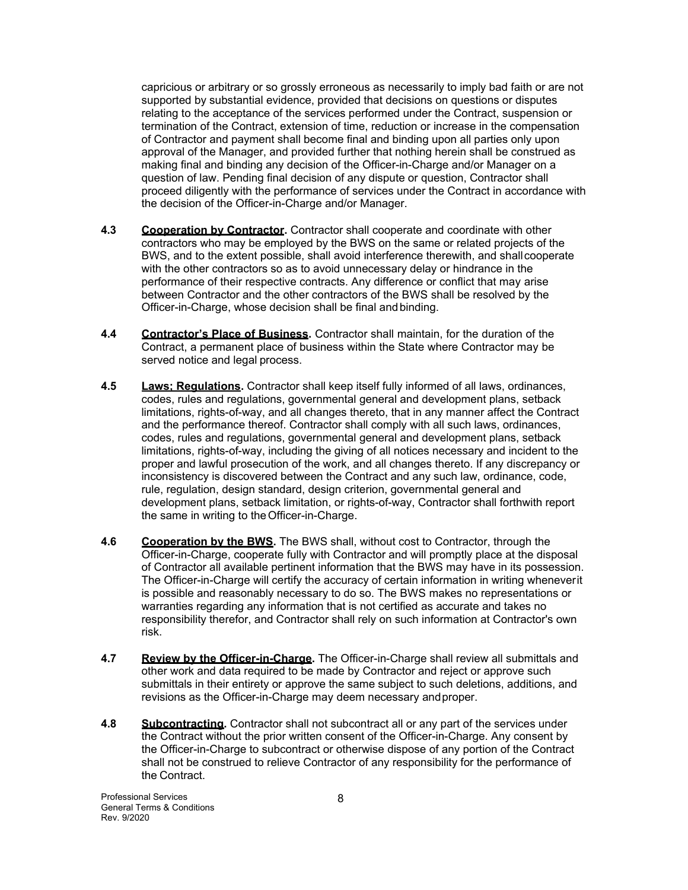capricious or arbitrary or so grossly erroneous as necessarily to imply bad faith or are not supported by substantial evidence, provided that decisions on questions or disputes relating to the acceptance of the services performed under the Contract, suspension or termination of the Contract, extension of time, reduction or increase in the compensation of Contractor and payment shall become final and binding upon all parties only upon approval of the Manager, and provided further that nothing herein shall be construed as making final and binding any decision of the Officer-in-Charge and/or Manager on a question of law. Pending final decision of any dispute or question, Contractor shall proceed diligently with the performance of services under the Contract in accordance with the decision of the Officer-in-Charge and/or Manager.

- **4.3 Cooperation by Contractor.** Contractor shall cooperate and coordinate with other contractors who may be employed by the BWS on the same or related projects of the BWS, and to the extent possible, shall avoid interference therewith, and shall cooperate with the other contractors so as to avoid unnecessary delay or hindrance in the performance of their respective contracts. Any difference or conflict that may arise between Contractor and the other contractors of the BWS shall be resolved by the Officer-in-Charge, whose decision shall be final and binding.
- **4.4 Contractor's Place of Business.** Contractor shall maintain, for the duration of the Contract, a permanent place of business within the State where Contractor may be served notice and legal process.
- **4.5 Laws; Regulations.** Contractor shall keep itself fully informed of all laws, ordinances, codes, rules and regulations, governmental general and development plans, setback limitations, rights-of-way, and all changes thereto, that in any manner affect the Contract and the performance thereof. Contractor shall comply with all such laws, ordinances, codes, rules and regulations, governmental general and development plans, setback limitations, rights-of-way, including the giving of all notices necessary and incident to the proper and lawful prosecution of the work, and all changes thereto. If any discrepancy or inconsistency is discovered between the Contract and any such law, ordinance, code, rule, regulation, design standard, design criterion, governmental general and development plans, setback limitation, or rights-of-way, Contractor shall forthwith report the same in writing to the Officer-in-Charge.
- **4.6 Cooperation by the BWS.** The BWS shall, without cost to Contractor, through the Officer-in-Charge, cooperate fully with Contractor and will promptly place at the disposal of Contractor all available pertinent information that the BWS may have in its possession. The Officer-in-Charge will certify the accuracy of certain information in writing whenever it is possible and reasonably necessary to do so. The BWS makes no representations or warranties regarding any information that is not certified as accurate and takes no responsibility therefor, and Contractor shall rely on such information at Contractor's own risk.
- **4.7 Review by the Officer-in-Charge.** The Officer-in-Charge shall review all submittals and other work and data required to be made by Contractor and reject or approve such submittals in their entirety or approve the same subject to such deletions, additions, and revisions as the Officer-in-Charge may deem necessary and proper.
- **4.8 Subcontracting.** Contractor shall not subcontract all or any part of the services under the Contract without the prior written consent of the Officer-in-Charge. Any consent by the Officer-in-Charge to subcontract or otherwise dispose of any portion of the Contract shall not be construed to relieve Contractor of any responsibility for the performance of the Contract.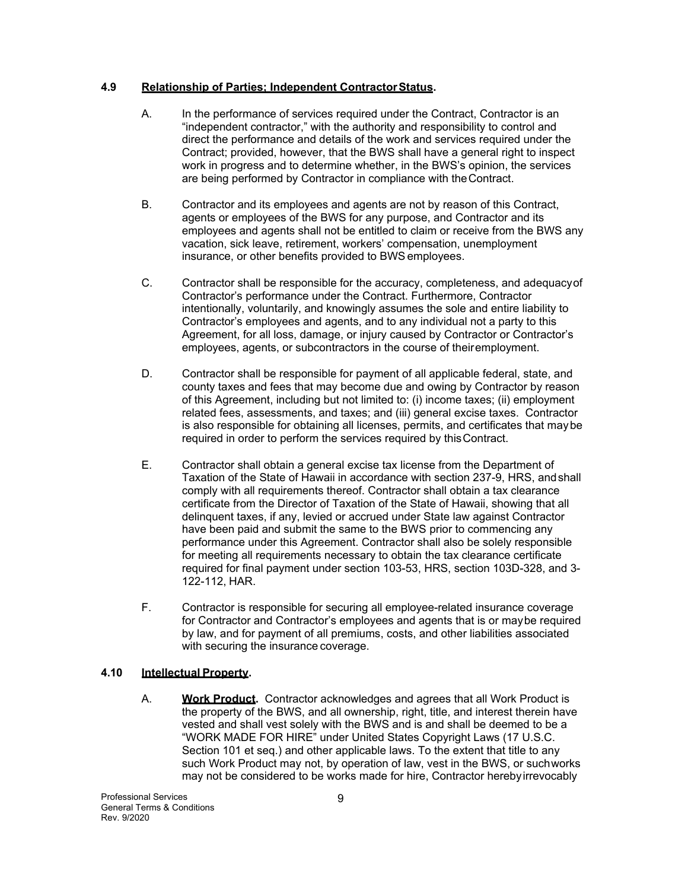#### **4.9 Relationship of Parties; Independent Contractor Status.**

- A. In the performance of services required under the Contract, Contractor is an "independent contractor," with the authority and responsibility to control and direct the performance and details of the work and services required under the Contract; provided, however, that the BWS shall have a general right to inspect work in progress and to determine whether, in the BWS's opinion, the services are being performed by Contractor in compliance with the Contract.
- B. Contractor and its employees and agents are not by reason of this Contract, agents or employees of the BWS for any purpose, and Contractor and its employees and agents shall not be entitled to claim or receive from the BWS any vacation, sick leave, retirement, workers' compensation, unemployment insurance, or other benefits provided to BWS employees.
- C. Contractor shall be responsible for the accuracy, completeness, and adequacy of Contractor's performance under the Contract. Furthermore, Contractor intentionally, voluntarily, and knowingly assumes the sole and entire liability to Contractor's employees and agents, and to any individual not a party to this Agreement, for all loss, damage, or injury caused by Contractor or Contractor's employees, agents, or subcontractors in the course of their employment.
- D. Contractor shall be responsible for payment of all applicable federal, state, and county taxes and fees that may become due and owing by Contractor by reason of this Agreement, including but not limited to: (i) income taxes; (ii) employment related fees, assessments, and taxes; and (iii) general excise taxes. Contractor is also responsible for obtaining all licenses, permits, and certificates that may be required in order to perform the services required by this Contract.
- E. Contractor shall obtain a general excise tax license from the Department of Taxation of the State of Hawaii in accordance with section 237-9, HRS, and shall comply with all requirements thereof. Contractor shall obtain a tax clearance certificate from the Director of Taxation of the State of Hawaii, showing that all delinquent taxes, if any, levied or accrued under State law against Contractor have been paid and submit the same to the BWS prior to commencing any performance under this Agreement. Contractor shall also be solely responsible for meeting all requirements necessary to obtain the tax clearance certificate required for final payment under section 103-53, HRS, section 103D-328, and 3- 122-112, HAR.
- F. Contractor is responsible for securing all employee-related insurance coverage for Contractor and Contractor's employees and agents that is or may be required by law, and for payment of all premiums, costs, and other liabilities associated with securing the insurance coverage.

## **4.10 Intellectual Property.**

A. **Work Product.** Contractor acknowledges and agrees that all Work Product is the property of the BWS, and all ownership, right, title, and interest therein have vested and shall vest solely with the BWS and is and shall be deemed to be a "WORK MADE FOR HIRE" under United States Copyright Laws (17 U.S.C. Section 101 et seq.) and other applicable laws. To the extent that title to any such Work Product may not, by operation of law, vest in the BWS, or such works may not be considered to be works made for hire, Contractor hereby irrevocably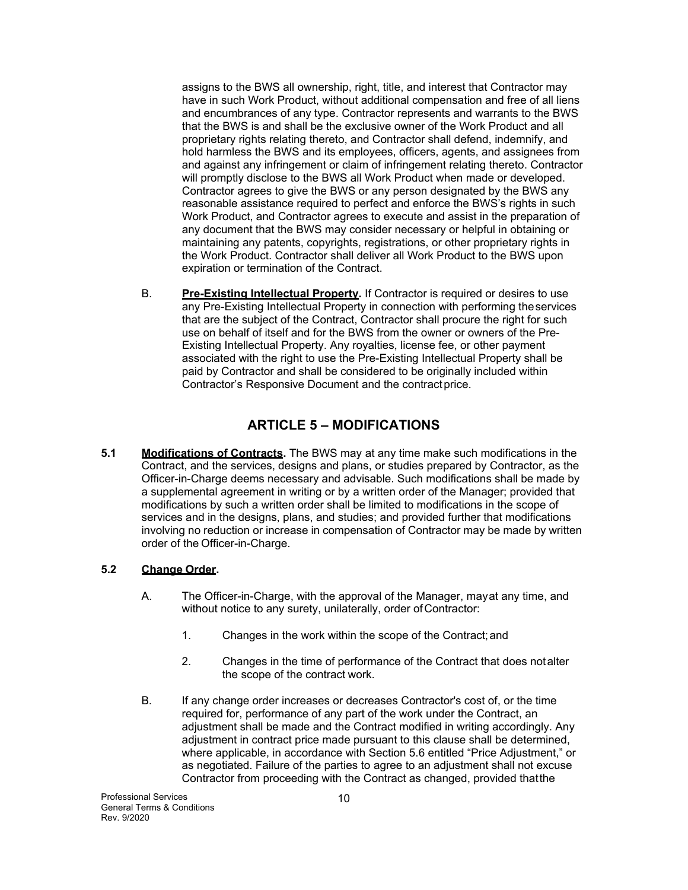assigns to the BWS all ownership, right, title, and interest that Contractor may have in such Work Product, without additional compensation and free of all liens and encumbrances of any type. Contractor represents and warrants to the BWS that the BWS is and shall be the exclusive owner of the Work Product and all proprietary rights relating thereto, and Contractor shall defend, indemnify, and hold harmless the BWS and its employees, officers, agents, and assignees from and against any infringement or claim of infringement relating thereto. Contractor will promptly disclose to the BWS all Work Product when made or developed. Contractor agrees to give the BWS or any person designated by the BWS any reasonable assistance required to perfect and enforce the BWS's rights in such Work Product, and Contractor agrees to execute and assist in the preparation of any document that the BWS may consider necessary or helpful in obtaining or maintaining any patents, copyrights, registrations, or other proprietary rights in the Work Product. Contractor shall deliver all Work Product to the BWS upon expiration or termination of the Contract.

B. **Pre-Existing Intellectual Property.** If Contractor is required or desires to use any Pre-Existing Intellectual Property in connection with performing the services that are the subject of the Contract, Contractor shall procure the right for such use on behalf of itself and for the BWS from the owner or owners of the Pre-Existing Intellectual Property. Any royalties, license fee, or other payment associated with the right to use the Pre-Existing Intellectual Property shall be paid by Contractor and shall be considered to be originally included within Contractor's Responsive Document and the contract price.

## **ARTICLE 5 – MODIFICATIONS**

**5.1 Modifications of Contracts.** The BWS may at any time make such modifications in the Contract, and the services, designs and plans, or studies prepared by Contractor, as the Officer-in-Charge deems necessary and advisable. Such modifications shall be made by a supplemental agreement in writing or by a written order of the Manager; provided that modifications by such a written order shall be limited to modifications in the scope of services and in the designs, plans, and studies; and provided further that modifications involving no reduction or increase in compensation of Contractor may be made by written order of the Officer-in-Charge.

## **5.2 Change Order.**

- A. The Officer-in-Charge, with the approval of the Manager, may at any time, and without notice to any surety, unilaterally, order of Contractor:
	- 1. Changes in the work within the scope of the Contract; and
	- 2. Changes in the time of performance of the Contract that does not alter the scope of the contract work.
- B. If any change order increases or decreases Contractor's cost of, or the time required for, performance of any part of the work under the Contract, an adjustment shall be made and the Contract modified in writing accordingly. Any adjustment in contract price made pursuant to this clause shall be determined, where applicable, in accordance with Section 5.6 entitled "Price Adjustment," or as negotiated. Failure of the parties to agree to an adjustment shall not excuse Contractor from proceeding with the Contract as changed, provided that the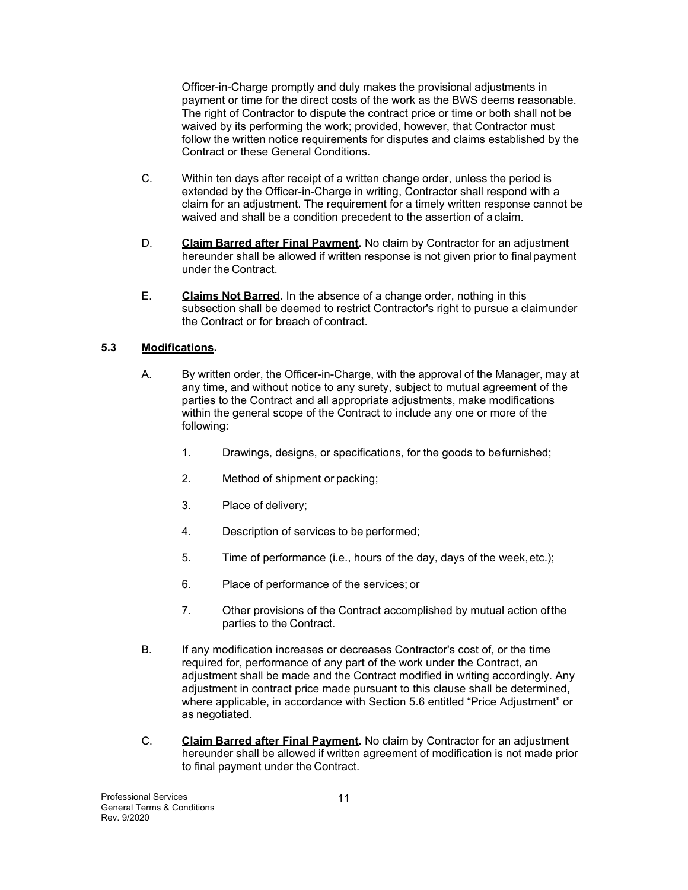Officer-in-Charge promptly and duly makes the provisional adjustments in payment or time for the direct costs of the work as the BWS deems reasonable. The right of Contractor to dispute the contract price or time or both shall not be waived by its performing the work; provided, however, that Contractor must follow the written notice requirements for disputes and claims established by the Contract or these General Conditions.

- C. Within ten days after receipt of a written change order, unless the period is extended by the Officer-in-Charge in writing, Contractor shall respond with a claim for an adjustment. The requirement for a timely written response cannot be waived and shall be a condition precedent to the assertion of a claim.
- D. **Claim Barred after Final Payment.** No claim by Contractor for an adjustment hereunder shall be allowed if written response is not given prior to final payment under the Contract.
- E. **Claims Not Barred.** In the absence of a change order, nothing in this subsection shall be deemed to restrict Contractor's right to pursue a claim under the Contract or for breach of contract.

## **5.3 Modifications.**

- A. By written order, the Officer-in-Charge, with the approval of the Manager, may at any time, and without notice to any surety, subject to mutual agreement of the parties to the Contract and all appropriate adjustments, make modifications within the general scope of the Contract to include any one or more of the following:
	- 1. Drawings, designs, or specifications, for the goods to be furnished;
	- 2. Method of shipment or packing;
	- 3. Place of delivery;
	- 4. Description of services to be performed;
	- 5. Time of performance (i.e., hours of the day, days of the week, etc.);
	- 6. Place of performance of the services; or
	- 7. Other provisions of the Contract accomplished by mutual action of the parties to the Contract.
- B. If any modification increases or decreases Contractor's cost of, or the time required for, performance of any part of the work under the Contract, an adjustment shall be made and the Contract modified in writing accordingly. Any adjustment in contract price made pursuant to this clause shall be determined, where applicable, in accordance with Section 5.6 entitled "Price Adjustment" or as negotiated.
- C. **Claim Barred after Final Payment.** No claim by Contractor for an adjustment hereunder shall be allowed if written agreement of modification is not made prior to final payment under the Contract.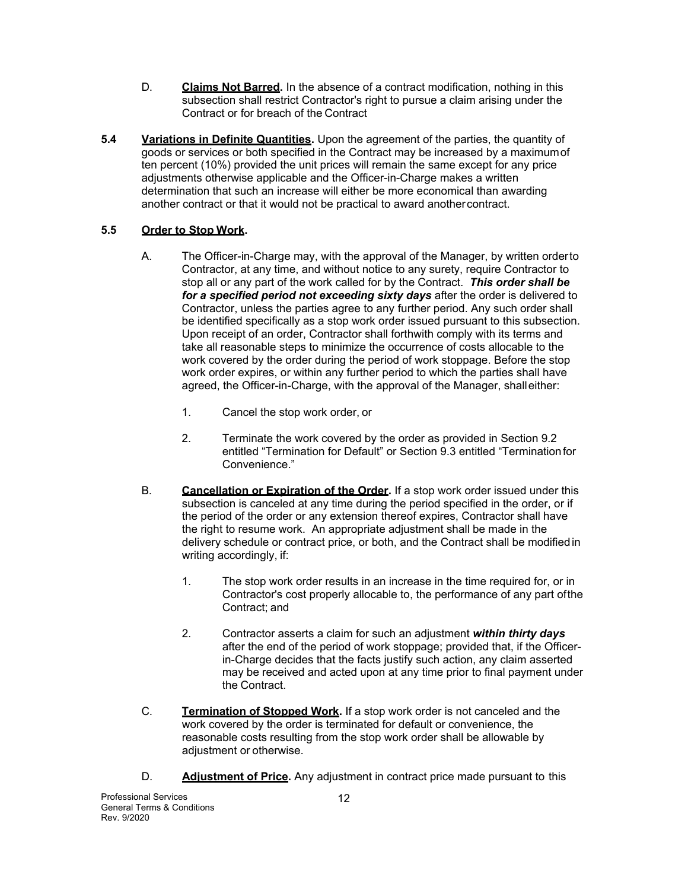- D. **Claims Not Barred.** In the absence of a contract modification, nothing in this subsection shall restrict Contractor's right to pursue a claim arising under the Contract or for breach of the Contract
- **5.4** Variations in Definite Quantities. Upon the agreement of the parties, the quantity of goods or services or both specified in the Contract may be increased by a maximum of ten percent (10%) provided the unit prices will remain the same except for any price adjustments otherwise applicable and the Officer-in-Charge makes a written determination that such an increase will either be more economical than awarding another contract or that it would not be practical to award another contract.

## **5.5 Order to Stop Work.**

- A. The Officer-in-Charge may, with the approval of the Manager, by written order to Contractor, at any time, and without notice to any surety, require Contractor to stop all or any part of the work called for by the Contract. *This order shall be*  for a specified period not exceeding sixty days after the order is delivered to Contractor, unless the parties agree to any further period. Any such order shall be identified specifically as a stop work order issued pursuant to this subsection. Upon receipt of an order, Contractor shall forthwith comply with its terms and take all reasonable steps to minimize the occurrence of costs allocable to the work covered by the order during the period of work stoppage. Before the stop work order expires, or within any further period to which the parties shall have agreed, the Officer-in-Charge, with the approval of the Manager, shall either:
	- 1. Cancel the stop work order, or
	- 2. Terminate the work covered by the order as provided in Section 9.2 entitled "Termination for Default" or Section 9.3 entitled "Termination for Convenience."
- B. **Cancellation or Expiration of the Order.** If a stop work order issued under this subsection is canceled at any time during the period specified in the order, or if the period of the order or any extension thereof expires, Contractor shall have the right to resume work. An appropriate adjustment shall be made in the delivery schedule or contract price, or both, and the Contract shall be modified in writing accordingly, if:
	- 1. The stop work order results in an increase in the time required for, or in Contractor's cost properly allocable to, the performance of any part of the Contract; and
	- 2. Contractor asserts a claim for such an adjustment *within thirty days*  after the end of the period of work stoppage; provided that, if the Officerin-Charge decides that the facts justify such action, any claim asserted may be received and acted upon at any time prior to final payment under the Contract.
- C. **Termination of Stopped Work.** If a stop work order is not canceled and the work covered by the order is terminated for default or convenience, the reasonable costs resulting from the stop work order shall be allowable by adjustment or otherwise.
- D. **Adjustment of Price.** Any adjustment in contract price made pursuant to this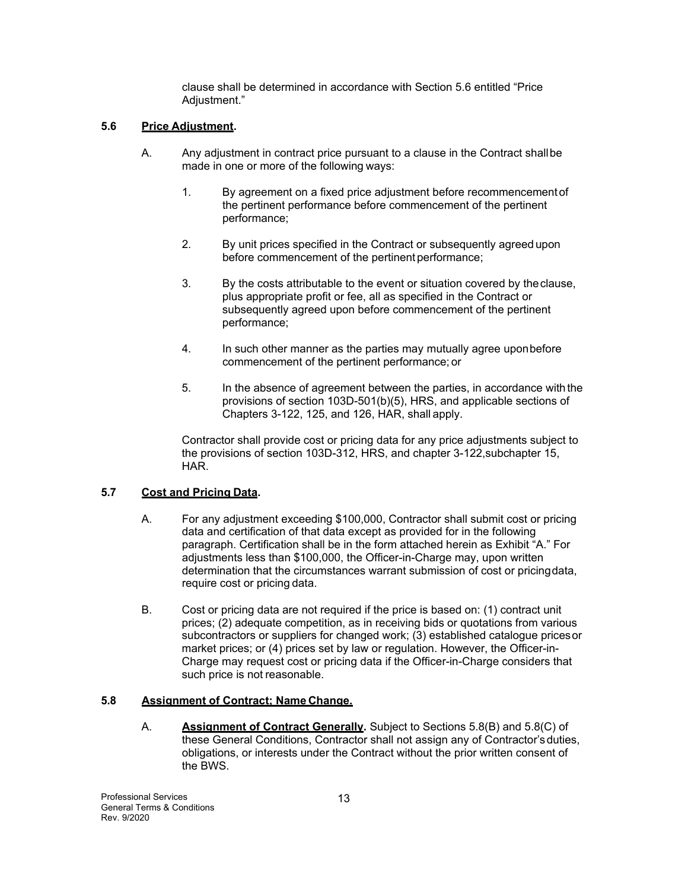clause shall be determined in accordance with Section 5.6 entitled "Price Adjustment."

## **5.6 Price Adjustment.**

- A. Any adjustment in contract price pursuant to a clause in the Contract shall be made in one or more of the following ways:
	- 1. By agreement on a fixed price adjustment before recommencement of the pertinent performance before commencement of the pertinent performance;
	- 2. By unit prices specified in the Contract or subsequently agreed upon before commencement of the pertinent performance;
	- 3. By the costs attributable to the event or situation covered by the clause, plus appropriate profit or fee, all as specified in the Contract or subsequently agreed upon before commencement of the pertinent performance;
	- 4. In such other manner as the parties may mutually agree upon before commencement of the pertinent performance; or
	- 5. In the absence of agreement between the parties, in accordance with the provisions of section 103D-501(b)(5), HRS, and applicable sections of Chapters 3-122, 125, and 126, HAR, shall apply.

Contractor shall provide cost or pricing data for any price adjustments subject to the provisions of section 103D-312, HRS, and chapter 3-122,subchapter 15, HAR.

## **5.7 Cost and Pricing Data.**

- A. For any adjustment exceeding \$100,000, Contractor shall submit cost or pricing data and certification of that data except as provided for in the following paragraph. Certification shall be in the form attached herein as Exhibit "A." For adjustments less than \$100,000, the Officer-in-Charge may, upon written determination that the circumstances warrant submission of cost or pricing data, require cost or pricing data.
- B. Cost or pricing data are not required if the price is based on: (1) contract unit prices; (2) adequate competition, as in receiving bids or quotations from various subcontractors or suppliers for changed work; (3) established catalogue prices or market prices; or (4) prices set by law or regulation. However, the Officer-in-Charge may request cost or pricing data if the Officer-in-Charge considers that such price is not reasonable.

## **5.8 Assignment of Contract; Name Change.**

A. **Assignment of Contract Generally.** Subject to Sections 5.8(B) and 5.8(C) of these General Conditions, Contractor shall not assign any of Contractor's duties, obligations, or interests under the Contract without the prior written consent of the BWS.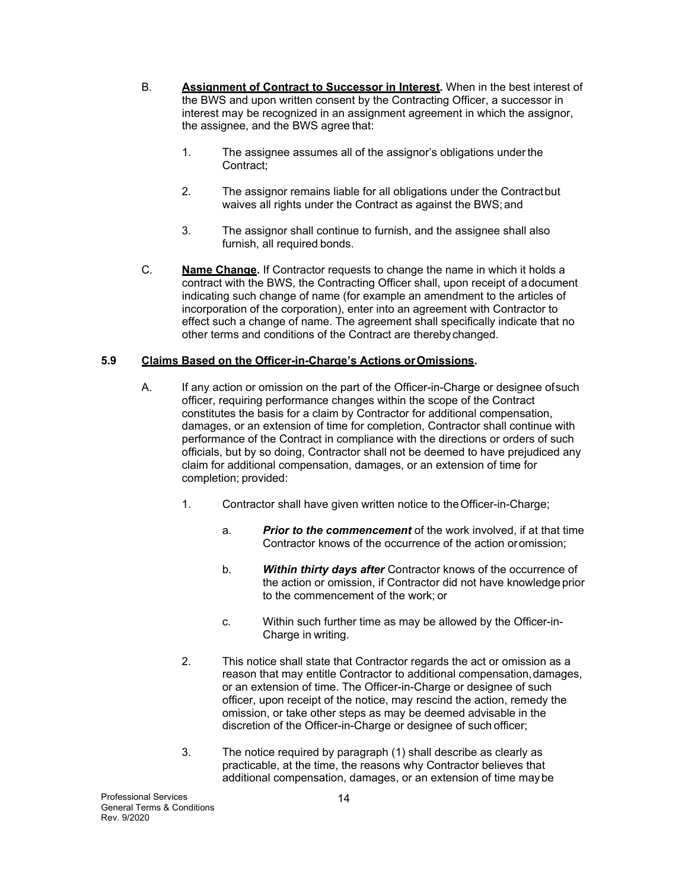- B. **Assignment of Contract to Successor in Interest.** When in the best interest of the BWS and upon written consent by the Contracting Officer, a successor in interest may be recognized in an assignment agreement in which the assignor, the assignee, and the BWS agree that:
	- 1. The assignee assumes all of the assignor's obligations under the Contract;
	- 2. The assignor remains liable for all obligations under the Contract but waives all rights under the Contract as against the BWS; and
	- 3. The assignor shall continue to furnish, and the assignee shall also furnish, all required bonds.
- C. **Name Change.** If Contractor requests to change the name in which it holds a contract with the BWS, the Contracting Officer shall, upon receipt of a document indicating such change of name (for example an amendment to the articles of incorporation of the corporation), enter into an agreement with Contractor to effect such a change of name. The agreement shall specifically indicate that no other terms and conditions of the Contract are thereby changed.

#### **5.9 Claims Based on the Officer-in-Charge's Actions or Omissions.**

- A. If any action or omission on the part of the Officer-in-Charge or designee of such officer, requiring performance changes within the scope of the Contract constitutes the basis for a claim by Contractor for additional compensation, damages, or an extension of time for completion, Contractor shall continue with performance of the Contract in compliance with the directions or orders of such officials, but by so doing, Contractor shall not be deemed to have prejudiced any claim for additional compensation, damages, or an extension of time for completion; provided:
	- 1. Contractor shall have given written notice to the Officer-in-Charge;
		- a. *Prior to the commencement* of the work involved, if at that time Contractor knows of the occurrence of the action or omission;
		- b. *Within thirty days after* Contractor knows of the occurrence of the action or omission, if Contractor did not have knowledge prior to the commencement of the work; or
		- c. Within such further time as may be allowed by the Officer-in-Charge in writing.
	- 2. This notice shall state that Contractor regards the act or omission as a reason that may entitle Contractor to additional compensation, damages, or an extension of time. The Officer-in-Charge or designee of such officer, upon receipt of the notice, may rescind the action, remedy the omission, or take other steps as may be deemed advisable in the discretion of the Officer-in-Charge or designee of such officer;
	- 3. The notice required by paragraph (1) shall describe as clearly as practicable, at the time, the reasons why Contractor believes that additional compensation, damages, or an extension of time may be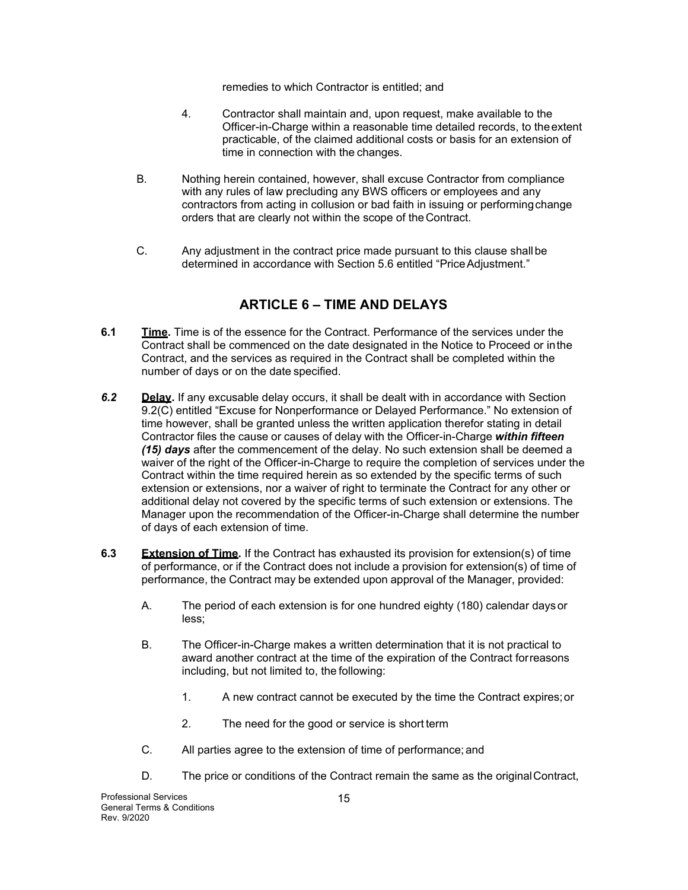remedies to which Contractor is entitled; and

- 4. Contractor shall maintain and, upon request, make available to the Officer-in-Charge within a reasonable time detailed records, to the extent practicable, of the claimed additional costs or basis for an extension of time in connection with the changes.
- B. Nothing herein contained, however, shall excuse Contractor from compliance with any rules of law precluding any BWS officers or employees and any contractors from acting in collusion or bad faith in issuing or performing change orders that are clearly not within the scope of the Contract.
- C. Any adjustment in the contract price made pursuant to this clause shall be determined in accordance with Section 5.6 entitled "Price Adjustment."

## **ARTICLE 6 – TIME AND DELAYS**

- **6.1 Time.** Time is of the essence for the Contract. Performance of the services under the Contract shall be commenced on the date designated in the Notice to Proceed or in the Contract, and the services as required in the Contract shall be completed within the number of days or on the date specified.
- *6.2* **Delay.** If any excusable delay occurs, it shall be dealt with in accordance with Section 9.2(C) entitled "Excuse for Nonperformance or Delayed Performance." No extension of time however, shall be granted unless the written application therefor stating in detail Contractor files the cause or causes of delay with the Officer-in-Charge *within fifteen (15) days* after the commencement of the delay. No such extension shall be deemed a waiver of the right of the Officer-in-Charge to require the completion of services under the Contract within the time required herein as so extended by the specific terms of such extension or extensions, nor a waiver of right to terminate the Contract for any other or additional delay not covered by the specific terms of such extension or extensions. The Manager upon the recommendation of the Officer-in-Charge shall determine the number of days of each extension of time.
- **6.3** Extension of Time. If the Contract has exhausted its provision for extension(s) of time of performance, or if the Contract does not include a provision for extension(s) of time of performance, the Contract may be extended upon approval of the Manager, provided:
	- A. The period of each extension is for one hundred eighty (180) calendar days or less;
	- B. The Officer-in-Charge makes a written determination that it is not practical to award another contract at the time of the expiration of the Contract for reasons including, but not limited to, the following:
		- 1. A new contract cannot be executed by the time the Contract expires; or
		- 2. The need for the good or service is short term
	- C. All parties agree to the extension of time of performance; and
	- D. The price or conditions of the Contract remain the same as the original Contract,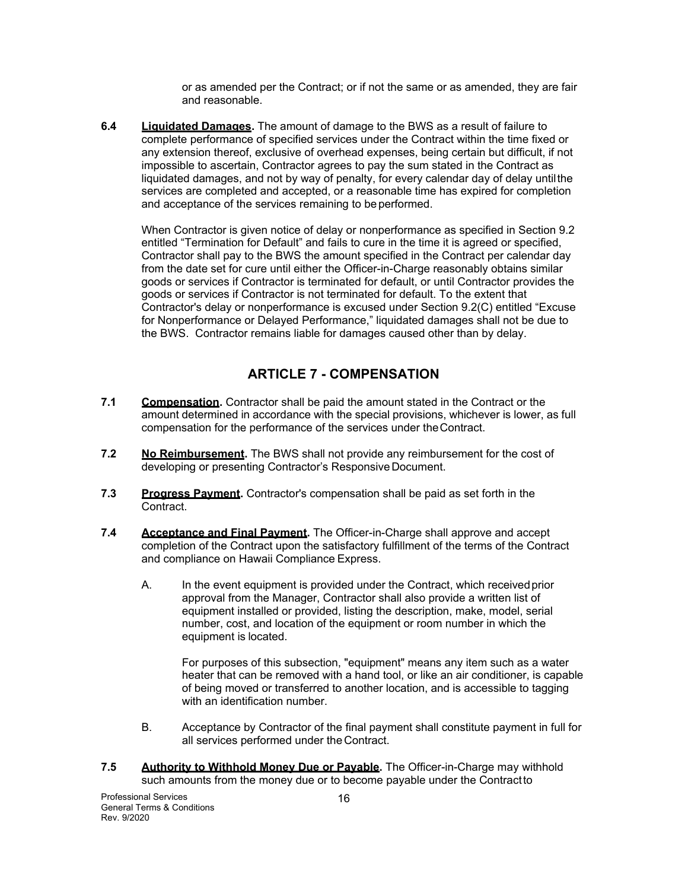or as amended per the Contract; or if not the same or as amended, they are fair and reasonable.

**6.4 Liquidated Damages.** The amount of damage to the BWS as a result of failure to complete performance of specified services under the Contract within the time fixed or any extension thereof, exclusive of overhead expenses, being certain but difficult, if not impossible to ascertain, Contractor agrees to pay the sum stated in the Contract as liquidated damages, and not by way of penalty, for every calendar day of delay until the services are completed and accepted, or a reasonable time has expired for completion and acceptance of the services remaining to be performed.

When Contractor is given notice of delay or nonperformance as specified in Section 9.2 entitled "Termination for Default" and fails to cure in the time it is agreed or specified, Contractor shall pay to the BWS the amount specified in the Contract per calendar day from the date set for cure until either the Officer-in-Charge reasonably obtains similar goods or services if Contractor is terminated for default, or until Contractor provides the goods or services if Contractor is not terminated for default. To the extent that Contractor's delay or nonperformance is excused under Section 9.2(C) entitled "Excuse for Nonperformance or Delayed Performance," liquidated damages shall not be due to the BWS. Contractor remains liable for damages caused other than by delay.

## **ARTICLE 7 - COMPENSATION**

- **7.1 Compensation.** Contractor shall be paid the amount stated in the Contract or the amount determined in accordance with the special provisions, whichever is lower, as full compensation for the performance of the services under the Contract.
- **7.2 No Reimbursement.** The BWS shall not provide any reimbursement for the cost of developing or presenting Contractor's Responsive Document.
- **7.3 Progress Payment.** Contractor's compensation shall be paid as set forth in the Contract.
- **7.4 Acceptance and Final Payment.** The Officer-in-Charge shall approve and accept completion of the Contract upon the satisfactory fulfillment of the terms of the Contract and compliance on Hawaii Compliance Express.
	- A. In the event equipment is provided under the Contract, which received prior approval from the Manager, Contractor shall also provide a written list of equipment installed or provided, listing the description, make, model, serial number, cost, and location of the equipment or room number in which the equipment is located.

For purposes of this subsection, "equipment" means any item such as a water heater that can be removed with a hand tool, or like an air conditioner, is capable of being moved or transferred to another location, and is accessible to tagging with an identification number.

- B. Acceptance by Contractor of the final payment shall constitute payment in full for all services performed under the Contract.
- **7.5 Authority to Withhold Money Due or Payable.** The Officer-in-Charge may withhold such amounts from the money due or to become payable under the Contract to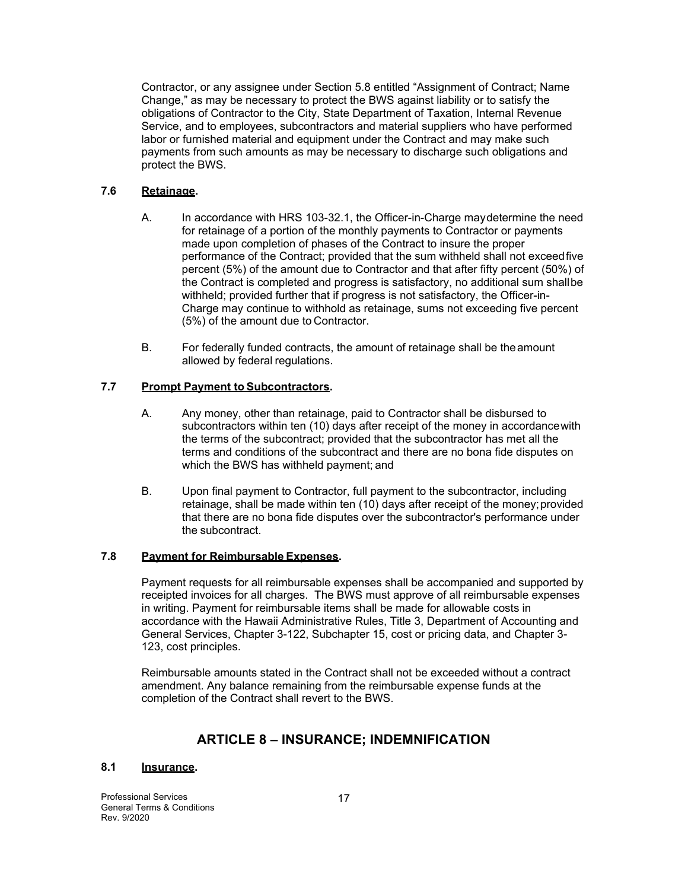Contractor, or any assignee under Section 5.8 entitled "Assignment of Contract; Name Change," as may be necessary to protect the BWS against liability or to satisfy the obligations of Contractor to the City, State Department of Taxation, Internal Revenue Service, and to employees, subcontractors and material suppliers who have performed labor or furnished material and equipment under the Contract and may make such payments from such amounts as may be necessary to discharge such obligations and protect the BWS.

## **7.6 Retainage.**

- A. In accordance with HRS 103-32.1, the Officer-in-Charge may determine the need for retainage of a portion of the monthly payments to Contractor or payments made upon completion of phases of the Contract to insure the proper performance of the Contract; provided that the sum withheld shall not exceed five percent (5%) of the amount due to Contractor and that after fifty percent (50%) of the Contract is completed and progress is satisfactory, no additional sum shall be withheld; provided further that if progress is not satisfactory, the Officer-in-Charge may continue to withhold as retainage, sums not exceeding five percent (5%) of the amount due to Contractor.
- B. For federally funded contracts, the amount of retainage shall be the amount allowed by federal regulations.

## **7.7 Prompt Payment to Subcontractors.**

- A. Any money, other than retainage, paid to Contractor shall be disbursed to subcontractors within ten (10) days after receipt of the money in accordance with the terms of the subcontract; provided that the subcontractor has met all the terms and conditions of the subcontract and there are no bona fide disputes on which the BWS has withheld payment; and
- B. Upon final payment to Contractor, full payment to the subcontractor, including retainage, shall be made within ten (10) days after receipt of the money; provided that there are no bona fide disputes over the subcontractor's performance under the subcontract.

#### **7.8 Payment for Reimbursable Expenses.**

Payment requests for all reimbursable expenses shall be accompanied and supported by receipted invoices for all charges. The BWS must approve of all reimbursable expenses in writing. Payment for reimbursable items shall be made for allowable costs in accordance with the Hawaii Administrative Rules, Title 3, Department of Accounting and General Services, Chapter 3-122, Subchapter 15, cost or pricing data, and Chapter 3- 123, cost principles.

Reimbursable amounts stated in the Contract shall not be exceeded without a contract amendment. Any balance remaining from the reimbursable expense funds at the completion of the Contract shall revert to the BWS.

## **ARTICLE 8 – INSURANCE; INDEMNIFICATION**

## **8.1 Insurance.**

Professional Services General Terms & Conditions Rev. 9/2020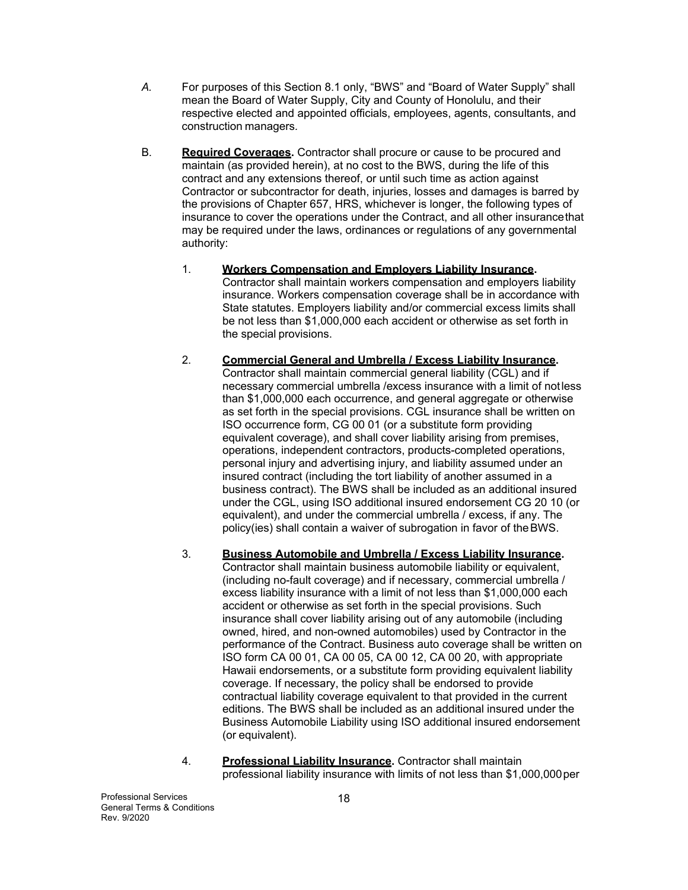- *A.* For purposes of this Section 8.1 only, "BWS" and "Board of Water Supply" shall mean the Board of Water Supply, City and County of Honolulu, and their respective elected and appointed officials, employees, agents, consultants, and construction managers*.*
- B. **Required Coverages.** Contractor shall procure or cause to be procured and maintain (as provided herein), at no cost to the BWS, during the life of this contract and any extensions thereof, or until such time as action against Contractor or subcontractor for death, injuries, losses and damages is barred by the provisions of Chapter 657, HRS, whichever is longer, the following types of insurance to cover the operations under the Contract, and all other insurance that may be required under the laws, ordinances or regulations of any governmental authority:
	- 1. **Workers Compensation and Employers Liability Insurance.**  Contractor shall maintain workers compensation and employers liability insurance. Workers compensation coverage shall be in accordance with State statutes. Employers liability and/or commercial excess limits shall be not less than \$1,000,000 each accident or otherwise as set forth in the special provisions.
	- 2. **Commercial General and Umbrella / Excess Liability Insurance.**  Contractor shall maintain commercial general liability (CGL) and if necessary commercial umbrella /excess insurance with a limit of not less than \$1,000,000 each occurrence, and general aggregate or otherwise as set forth in the special provisions. CGL insurance shall be written on ISO occurrence form, CG 00 01 (or a substitute form providing equivalent coverage), and shall cover liability arising from premises, operations, independent contractors, products-completed operations, personal injury and advertising injury, and liability assumed under an insured contract (including the tort liability of another assumed in a business contract). The BWS shall be included as an additional insured under the CGL, using ISO additional insured endorsement CG 20 10 (or equivalent), and under the commercial umbrella / excess, if any. The policy(ies) shall contain a waiver of subrogation in favor of the BWS.
	- 3. **Business Automobile and Umbrella / Excess Liability Insurance.**  Contractor shall maintain business automobile liability or equivalent, (including no-fault coverage) and if necessary, commercial umbrella / excess liability insurance with a limit of not less than \$1,000,000 each accident or otherwise as set forth in the special provisions. Such insurance shall cover liability arising out of any automobile (including owned, hired, and non-owned automobiles) used by Contractor in the performance of the Contract. Business auto coverage shall be written on ISO form CA 00 01, CA 00 05, CA 00 12, CA 00 20, with appropriate Hawaii endorsements, or a substitute form providing equivalent liability coverage. If necessary, the policy shall be endorsed to provide contractual liability coverage equivalent to that provided in the current editions. The BWS shall be included as an additional insured under the Business Automobile Liability using ISO additional insured endorsement (or equivalent).
	- 4. **Professional Liability Insurance.** Contractor shall maintain professional liability insurance with limits of not less than \$1,000,000 per

Professional Services General Terms & Conditions Rev. 9/2020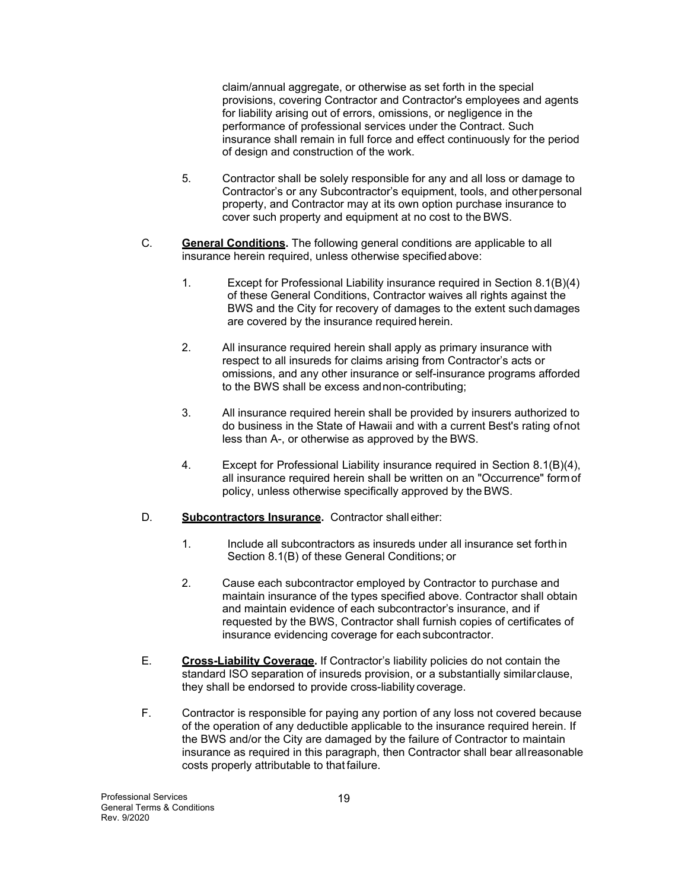claim/annual aggregate, or otherwise as set forth in the special provisions, covering Contractor and Contractor's employees and agents for liability arising out of errors, omissions, or negligence in the performance of professional services under the Contract. Such insurance shall remain in full force and effect continuously for the period of design and construction of the work.

- 5. Contractor shall be solely responsible for any and all loss or damage to Contractor's or any Subcontractor's equipment, tools, and other personal property, and Contractor may at its own option purchase insurance to cover such property and equipment at no cost to the BWS.
- C. **General Conditions.** The following general conditions are applicable to all insurance herein required, unless otherwise specified above:
	- 1. Except for Professional Liability insurance required in Section 8.1(B)(4) of these General Conditions, Contractor waives all rights against the BWS and the City for recovery of damages to the extent such damages are covered by the insurance required herein.
	- 2. All insurance required herein shall apply as primary insurance with respect to all insureds for claims arising from Contractor's acts or omissions, and any other insurance or self-insurance programs afforded to the BWS shall be excess and non-contributing;
	- 3. All insurance required herein shall be provided by insurers authorized to do business in the State of Hawaii and with a current Best's rating of not less than A-, or otherwise as approved by the BWS.
	- 4. Except for Professional Liability insurance required in Section 8.1(B)(4), all insurance required herein shall be written on an "Occurrence" form of policy, unless otherwise specifically approved by the BWS.
- D. **Subcontractors Insurance.** Contractor shall either:
	- 1. Include all subcontractors as insureds under all insurance set forth in Section 8.1(B) of these General Conditions; or
	- 2. Cause each subcontractor employed by Contractor to purchase and maintain insurance of the types specified above. Contractor shall obtain and maintain evidence of each subcontractor's insurance, and if requested by the BWS, Contractor shall furnish copies of certificates of insurance evidencing coverage for each subcontractor.
- E. **Cross-Liability Coverage.** If Contractor's liability policies do not contain the standard ISO separation of insureds provision, or a substantially similar clause, they shall be endorsed to provide cross-liability coverage.
- F. Contractor is responsible for paying any portion of any loss not covered because of the operation of any deductible applicable to the insurance required herein. If the BWS and/or the City are damaged by the failure of Contractor to maintain insurance as required in this paragraph, then Contractor shall bear all reasonable costs properly attributable to that failure.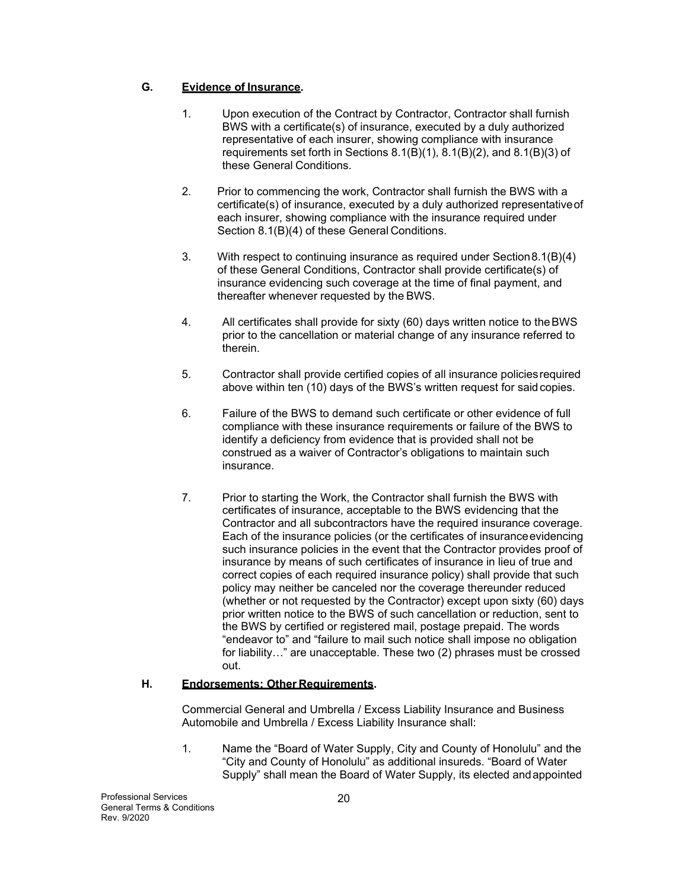## **G. Evidence of Insurance.**

- 1. Upon execution of the Contract by Contractor, Contractor shall furnish BWS with a certificate(s) of insurance, executed by a duly authorized representative of each insurer, showing compliance with insurance requirements set forth in Sections 8.1(B)(1), 8.1(B)(2), and 8.1(B)(3) of these General Conditions.
- 2. Prior to commencing the work, Contractor shall furnish the BWS with a certificate(s) of insurance, executed by a duly authorized representative of each insurer, showing compliance with the insurance required under Section 8.1(B)(4) of these General Conditions.
- 3. With respect to continuing insurance as required under Section 8.1(B)(4) of these General Conditions, Contractor shall provide certificate(s) of insurance evidencing such coverage at the time of final payment, and thereafter whenever requested by the BWS.
- 4. All certificates shall provide for sixty (60) days written notice to the BWS prior to the cancellation or material change of any insurance referred to therein.
- 5. Contractor shall provide certified copies of all insurance policies required above within ten (10) days of the BWS's written request for said copies.
- 6. Failure of the BWS to demand such certificate or other evidence of full compliance with these insurance requirements or failure of the BWS to identify a deficiency from evidence that is provided shall not be construed as a waiver of Contractor's obligations to maintain such insurance.
- 7. Prior to starting the Work, the Contractor shall furnish the BWS with certificates of insurance, acceptable to the BWS evidencing that the Contractor and all subcontractors have the required insurance coverage. Each of the insurance policies (or the certificates of insurance evidencing such insurance policies in the event that the Contractor provides proof of insurance by means of such certificates of insurance in lieu of true and correct copies of each required insurance policy) shall provide that such policy may neither be canceled nor the coverage thereunder reduced (whether or not requested by the Contractor) except upon sixty (60) days prior written notice to the BWS of such cancellation or reduction, sent to the BWS by certified or registered mail, postage prepaid. The words "endeavor to" and "failure to mail such notice shall impose no obligation for liability…" are unacceptable. These two (2) phrases must be crossed out.

## **H. Endorsements; Other Requirements.**

Commercial General and Umbrella / Excess Liability Insurance and Business Automobile and Umbrella / Excess Liability Insurance shall:

1. Name the "Board of Water Supply, City and County of Honolulu" and the "City and County of Honolulu" as additional insureds. "Board of Water Supply" shall mean the Board of Water Supply, its elected and appointed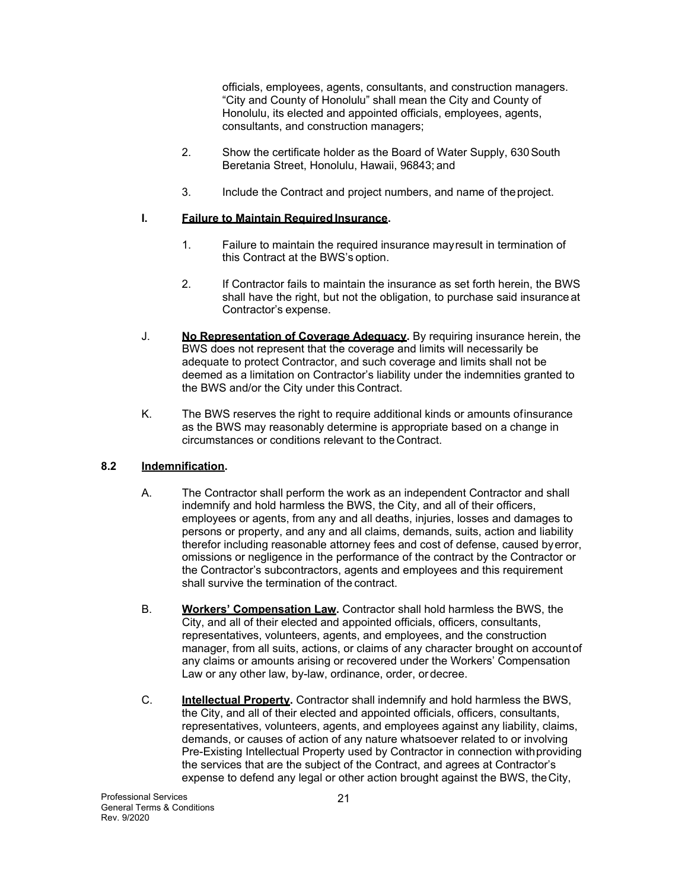officials, employees, agents, consultants, and construction managers. "City and County of Honolulu" shall mean the City and County of Honolulu, its elected and appointed officials, employees, agents, consultants, and construction managers;

- 2. Show the certificate holder as the Board of Water Supply, 630 South Beretania Street, Honolulu, Hawaii, 96843; and
- 3. Include the Contract and project numbers, and name of the project.

#### **I. Failure to Maintain Required Insurance.**

- 1. Failure to maintain the required insurance may result in termination of this Contract at the BWS's option.
- 2. If Contractor fails to maintain the insurance as set forth herein, the BWS shall have the right, but not the obligation, to purchase said insurance at Contractor's expense.
- J. **No Representation of Coverage Adequacy.** By requiring insurance herein, the BWS does not represent that the coverage and limits will necessarily be adequate to protect Contractor, and such coverage and limits shall not be deemed as a limitation on Contractor's liability under the indemnities granted to the BWS and/or the City under this Contract.
- K. The BWS reserves the right to require additional kinds or amounts of insurance as the BWS may reasonably determine is appropriate based on a change in circumstances or conditions relevant to the Contract.

## **8.2 Indemnification.**

- A. The Contractor shall perform the work as an independent Contractor and shall indemnify and hold harmless the BWS, the City, and all of their officers, employees or agents, from any and all deaths, injuries, losses and damages to persons or property, and any and all claims, demands, suits, action and liability therefor including reasonable attorney fees and cost of defense, caused by error, omissions or negligence in the performance of the contract by the Contractor or the Contractor's subcontractors, agents and employees and this requirement shall survive the termination of the contract.
- B. **Workers' Compensation Law.** Contractor shall hold harmless the BWS, the City, and all of their elected and appointed officials, officers, consultants, representatives, volunteers, agents, and employees, and the construction manager, from all suits, actions, or claims of any character brought on account of any claims or amounts arising or recovered under the Workers' Compensation Law or any other law, by-law, ordinance, order, or decree.
- C. **Intellectual Property.** Contractor shall indemnify and hold harmless the BWS, the City, and all of their elected and appointed officials, officers, consultants, representatives, volunteers, agents, and employees against any liability, claims, demands, or causes of action of any nature whatsoever related to or involving Pre-Existing Intellectual Property used by Contractor in connection with providing the services that are the subject of the Contract, and agrees at Contractor's expense to defend any legal or other action brought against the BWS, the City,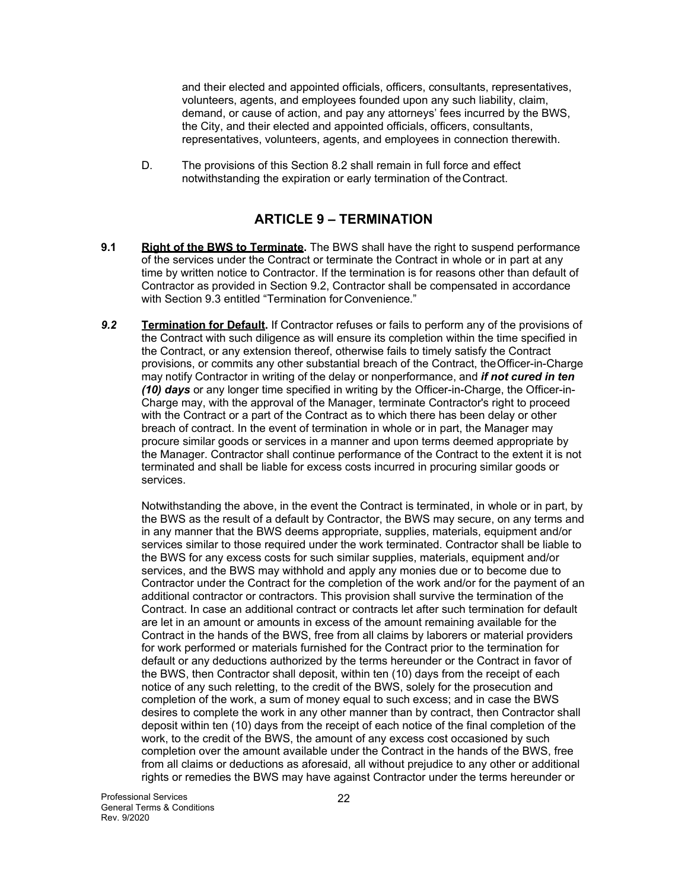and their elected and appointed officials, officers, consultants, representatives, volunteers, agents, and employees founded upon any such liability, claim, demand, or cause of action, and pay any attorneys' fees incurred by the BWS, the City, and their elected and appointed officials, officers, consultants, representatives, volunteers, agents, and employees in connection therewith.

D. The provisions of this Section 8.2 shall remain in full force and effect notwithstanding the expiration or early termination of the Contract.

## **ARTICLE 9 – TERMINATION**

- **9.1** Right of the BWS to Terminate. The BWS shall have the right to suspend performance of the services under the Contract or terminate the Contract in whole or in part at any time by written notice to Contractor. If the termination is for reasons other than default of Contractor as provided in Section 9.2, Contractor shall be compensated in accordance with Section 9.3 entitled "Termination for Convenience."
- *9.2* **Termination for Default.** If Contractor refuses or fails to perform any of the provisions of the Contract with such diligence as will ensure its completion within the time specified in the Contract, or any extension thereof, otherwise fails to timely satisfy the Contract provisions, or commits any other substantial breach of the Contract, the Officer-in-Charge may notify Contractor in writing of the delay or nonperformance, and *if not cured in ten (10) days* or any longer time specified in writing by the Officer-in-Charge, the Officer-in-Charge may, with the approval of the Manager, terminate Contractor's right to proceed with the Contract or a part of the Contract as to which there has been delay or other breach of contract. In the event of termination in whole or in part, the Manager may procure similar goods or services in a manner and upon terms deemed appropriate by the Manager. Contractor shall continue performance of the Contract to the extent it is not terminated and shall be liable for excess costs incurred in procuring similar goods or services.

Notwithstanding the above, in the event the Contract is terminated, in whole or in part, by the BWS as the result of a default by Contractor, the BWS may secure, on any terms and in any manner that the BWS deems appropriate, supplies, materials, equipment and/or services similar to those required under the work terminated. Contractor shall be liable to the BWS for any excess costs for such similar supplies, materials, equipment and/or services, and the BWS may withhold and apply any monies due or to become due to Contractor under the Contract for the completion of the work and/or for the payment of an additional contractor or contractors. This provision shall survive the termination of the Contract. In case an additional contract or contracts let after such termination for default are let in an amount or amounts in excess of the amount remaining available for the Contract in the hands of the BWS, free from all claims by laborers or material providers for work performed or materials furnished for the Contract prior to the termination for default or any deductions authorized by the terms hereunder or the Contract in favor of the BWS, then Contractor shall deposit, within ten (10) days from the receipt of each notice of any such reletting, to the credit of the BWS, solely for the prosecution and completion of the work, a sum of money equal to such excess; and in case the BWS desires to complete the work in any other manner than by contract, then Contractor shall deposit within ten (10) days from the receipt of each notice of the final completion of the work, to the credit of the BWS, the amount of any excess cost occasioned by such completion over the amount available under the Contract in the hands of the BWS, free from all claims or deductions as aforesaid, all without prejudice to any other or additional rights or remedies the BWS may have against Contractor under the terms hereunder or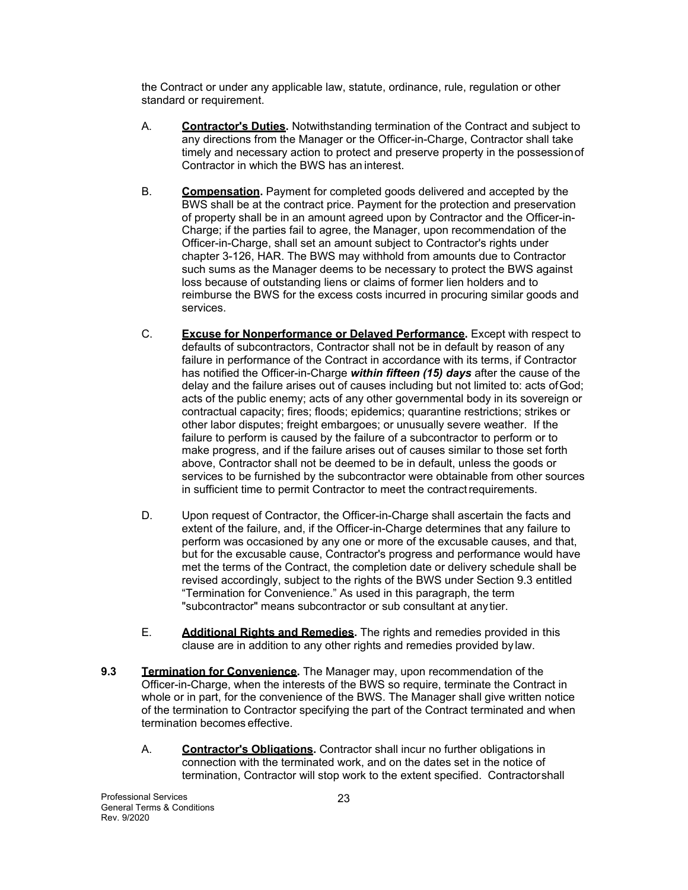the Contract or under any applicable law, statute, ordinance, rule, regulation or other standard or requirement.

- A. **Contractor's Duties.** Notwithstanding termination of the Contract and subject to any directions from the Manager or the Officer-in-Charge, Contractor shall take timely and necessary action to protect and preserve property in the possession of Contractor in which the BWS has an interest.
- B. **Compensation.** Payment for completed goods delivered and accepted by the BWS shall be at the contract price. Payment for the protection and preservation of property shall be in an amount agreed upon by Contractor and the Officer-in-Charge; if the parties fail to agree, the Manager, upon recommendation of the Officer-in-Charge, shall set an amount subject to Contractor's rights under chapter 3-126, HAR. The BWS may withhold from amounts due to Contractor such sums as the Manager deems to be necessary to protect the BWS against loss because of outstanding liens or claims of former lien holders and to reimburse the BWS for the excess costs incurred in procuring similar goods and services.
- C. **Excuse for Nonperformance or Delayed Performance.** Except with respect to defaults of subcontractors, Contractor shall not be in default by reason of any failure in performance of the Contract in accordance with its terms, if Contractor has notified the Officer-in-Charge *within fifteen (15) days* after the cause of the delay and the failure arises out of causes including but not limited to: acts of God; acts of the public enemy; acts of any other governmental body in its sovereign or contractual capacity; fires; floods; epidemics; quarantine restrictions; strikes or other labor disputes; freight embargoes; or unusually severe weather. If the failure to perform is caused by the failure of a subcontractor to perform or to make progress, and if the failure arises out of causes similar to those set forth above, Contractor shall not be deemed to be in default, unless the goods or services to be furnished by the subcontractor were obtainable from other sources in sufficient time to permit Contractor to meet the contract requirements.
- D. Upon request of Contractor, the Officer-in-Charge shall ascertain the facts and extent of the failure, and, if the Officer-in-Charge determines that any failure to perform was occasioned by any one or more of the excusable causes, and that, but for the excusable cause, Contractor's progress and performance would have met the terms of the Contract, the completion date or delivery schedule shall be revised accordingly, subject to the rights of the BWS under Section 9.3 entitled "Termination for Convenience." As used in this paragraph, the term "subcontractor" means subcontractor or sub consultant at any tier.
- E. **Additional Rights and Remedies.** The rights and remedies provided in this clause are in addition to any other rights and remedies provided by law.
- **9.3 Termination for Convenience.** The Manager may, upon recommendation of the Officer-in-Charge, when the interests of the BWS so require, terminate the Contract in whole or in part, for the convenience of the BWS. The Manager shall give written notice of the termination to Contractor specifying the part of the Contract terminated and when termination becomes effective.
	- A. **Contractor's Obligations.** Contractor shall incur no further obligations in connection with the terminated work, and on the dates set in the notice of termination, Contractor will stop work to the extent specified. Contractor shall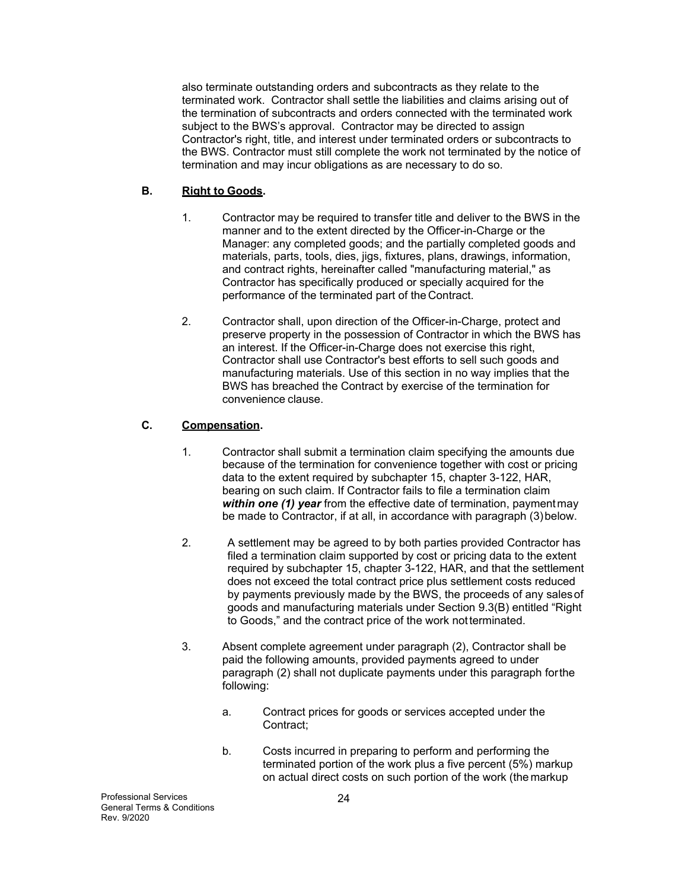also terminate outstanding orders and subcontracts as they relate to the terminated work. Contractor shall settle the liabilities and claims arising out of the termination of subcontracts and orders connected with the terminated work subject to the BWS's approval. Contractor may be directed to assign Contractor's right, title, and interest under terminated orders or subcontracts to the BWS. Contractor must still complete the work not terminated by the notice of termination and may incur obligations as are necessary to do so.

## **B. Right to Goods.**

- 1. Contractor may be required to transfer title and deliver to the BWS in the manner and to the extent directed by the Officer-in-Charge or the Manager: any completed goods; and the partially completed goods and materials, parts, tools, dies, jigs, fixtures, plans, drawings, information, and contract rights, hereinafter called "manufacturing material," as Contractor has specifically produced or specially acquired for the performance of the terminated part of the Contract.
- 2. Contractor shall, upon direction of the Officer-in-Charge, protect and preserve property in the possession of Contractor in which the BWS has an interest. If the Officer-in-Charge does not exercise this right, Contractor shall use Contractor's best efforts to sell such goods and manufacturing materials. Use of this section in no way implies that the BWS has breached the Contract by exercise of the termination for convenience clause.

## **C. Compensation.**

- 1. Contractor shall submit a termination claim specifying the amounts due because of the termination for convenience together with cost or pricing data to the extent required by subchapter 15, chapter 3-122, HAR, bearing on such claim. If Contractor fails to file a termination claim *within one (1) year* from the effective date of termination, payment may be made to Contractor, if at all, in accordance with paragraph (3) below.
- 2. A settlement may be agreed to by both parties provided Contractor has filed a termination claim supported by cost or pricing data to the extent required by subchapter 15, chapter 3-122, HAR, and that the settlement does not exceed the total contract price plus settlement costs reduced by payments previously made by the BWS, the proceeds of any sales of goods and manufacturing materials under Section 9.3(B) entitled "Right to Goods," and the contract price of the work not terminated.
- 3. Absent complete agreement under paragraph (2), Contractor shall be paid the following amounts, provided payments agreed to under paragraph (2) shall not duplicate payments under this paragraph for the following:
	- a. Contract prices for goods or services accepted under the Contract;
	- b. Costs incurred in preparing to perform and performing the terminated portion of the work plus a five percent (5%) markup on actual direct costs on such portion of the work (the markup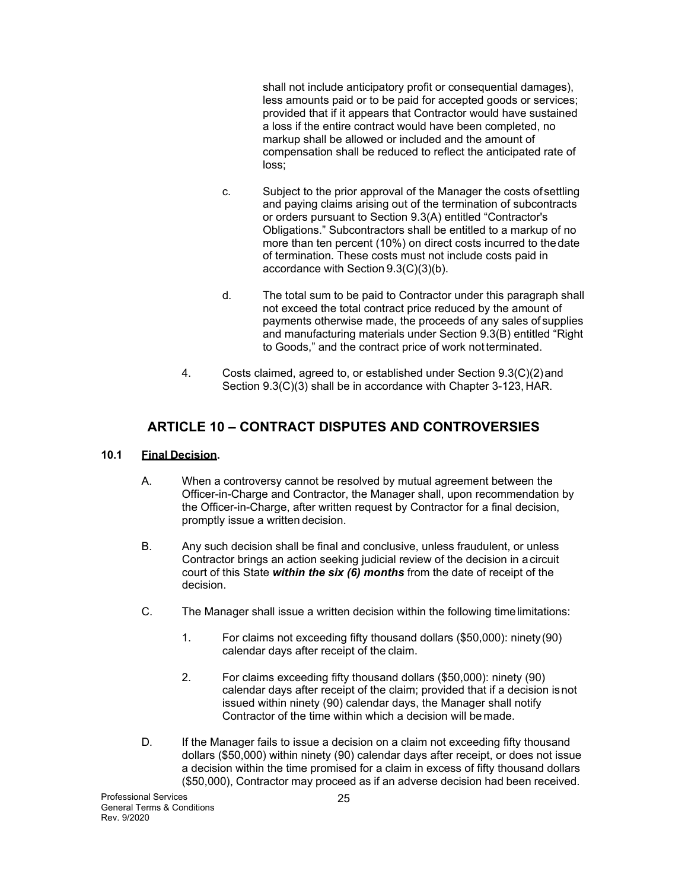shall not include anticipatory profit or consequential damages), less amounts paid or to be paid for accepted goods or services; provided that if it appears that Contractor would have sustained a loss if the entire contract would have been completed, no markup shall be allowed or included and the amount of compensation shall be reduced to reflect the anticipated rate of loss;

- c. Subject to the prior approval of the Manager the costs of settling and paying claims arising out of the termination of subcontracts or orders pursuant to Section 9.3(A) entitled "Contractor's Obligations." Subcontractors shall be entitled to a markup of no more than ten percent (10%) on direct costs incurred to the date of termination. These costs must not include costs paid in accordance with Section 9.3(C)(3)(b).
- d. The total sum to be paid to Contractor under this paragraph shall not exceed the total contract price reduced by the amount of payments otherwise made, the proceeds of any sales of supplies and manufacturing materials under Section 9.3(B) entitled "Right to Goods," and the contract price of work not terminated.
- 4. Costs claimed, agreed to, or established under Section 9.3(C)(2) and Section 9.3(C)(3) shall be in accordance with Chapter 3-123, HAR.

## **ARTICLE 10 – CONTRACT DISPUTES AND CONTROVERSIES**

## **10.1 Final Decision.**

- A. When a controversy cannot be resolved by mutual agreement between the Officer-in-Charge and Contractor, the Manager shall, upon recommendation by the Officer-in-Charge, after written request by Contractor for a final decision, promptly issue a written decision.
- B. Any such decision shall be final and conclusive, unless fraudulent, or unless Contractor brings an action seeking judicial review of the decision in a circuit court of this State *within the six (6) months* from the date of receipt of the decision.
- C. The Manager shall issue a written decision within the following time limitations:
	- 1. For claims not exceeding fifty thousand dollars (\$50,000): ninety (90) calendar days after receipt of the claim.
	- 2. For claims exceeding fifty thousand dollars (\$50,000): ninety (90) calendar days after receipt of the claim; provided that if a decision is not issued within ninety (90) calendar days, the Manager shall notify Contractor of the time within which a decision will be made.
- D. If the Manager fails to issue a decision on a claim not exceeding fifty thousand dollars (\$50,000) within ninety (90) calendar days after receipt, or does not issue a decision within the time promised for a claim in excess of fifty thousand dollars (\$50,000), Contractor may proceed as if an adverse decision had been received.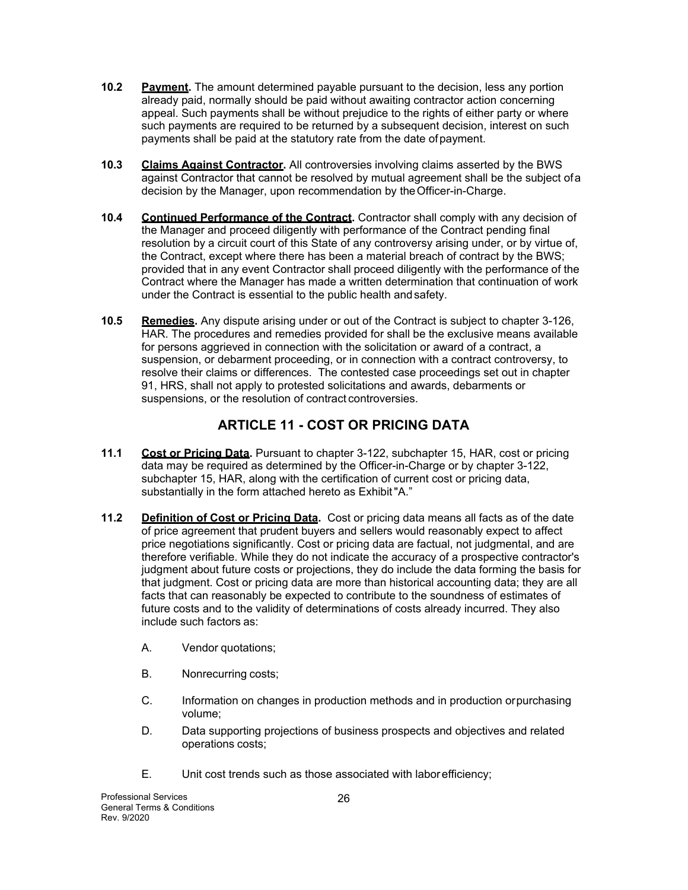- **10.2 Payment.** The amount determined payable pursuant to the decision, less any portion already paid, normally should be paid without awaiting contractor action concerning appeal. Such payments shall be without prejudice to the rights of either party or where such payments are required to be returned by a subsequent decision, interest on such payments shall be paid at the statutory rate from the date of payment.
- **10.3 Claims Against Contractor.** All controversies involving claims asserted by the BWS against Contractor that cannot be resolved by mutual agreement shall be the subject of a decision by the Manager, upon recommendation by the Officer-in-Charge.
- **10.4 Continued Performance of the Contract.** Contractor shall comply with any decision of the Manager and proceed diligently with performance of the Contract pending final resolution by a circuit court of this State of any controversy arising under, or by virtue of, the Contract, except where there has been a material breach of contract by the BWS; provided that in any event Contractor shall proceed diligently with the performance of the Contract where the Manager has made a written determination that continuation of work under the Contract is essential to the public health and safety.
- **10.5 Remedies.** Any dispute arising under or out of the Contract is subject to chapter 3-126, HAR. The procedures and remedies provided for shall be the exclusive means available for persons aggrieved in connection with the solicitation or award of a contract, a suspension, or debarment proceeding, or in connection with a contract controversy, to resolve their claims or differences. The contested case proceedings set out in chapter 91, HRS, shall not apply to protested solicitations and awards, debarments or suspensions, or the resolution of contract controversies.

## **ARTICLE 11 - COST OR PRICING DATA**

- **11.1 Cost or Pricing Data.** Pursuant to chapter 3-122, subchapter 15, HAR, cost or pricing data may be required as determined by the Officer-in-Charge or by chapter 3-122, subchapter 15, HAR, along with the certification of current cost or pricing data, substantially in the form attached hereto as Exhibit "A."
- **11.2 Definition of Cost or Pricing Data.** Cost or pricing data means all facts as of the date of price agreement that prudent buyers and sellers would reasonably expect to affect price negotiations significantly. Cost or pricing data are factual, not judgmental, and are therefore verifiable. While they do not indicate the accuracy of a prospective contractor's judgment about future costs or projections, they do include the data forming the basis for that judgment. Cost or pricing data are more than historical accounting data; they are all facts that can reasonably be expected to contribute to the soundness of estimates of future costs and to the validity of determinations of costs already incurred. They also include such factors as:
	- A. Vendor quotations;
	- B. Nonrecurring costs;
	- C. Information on changes in production methods and in production or purchasing volume;
	- D. Data supporting projections of business prospects and objectives and related operations costs;
	- E. Unit cost trends such as those associated with labor efficiency;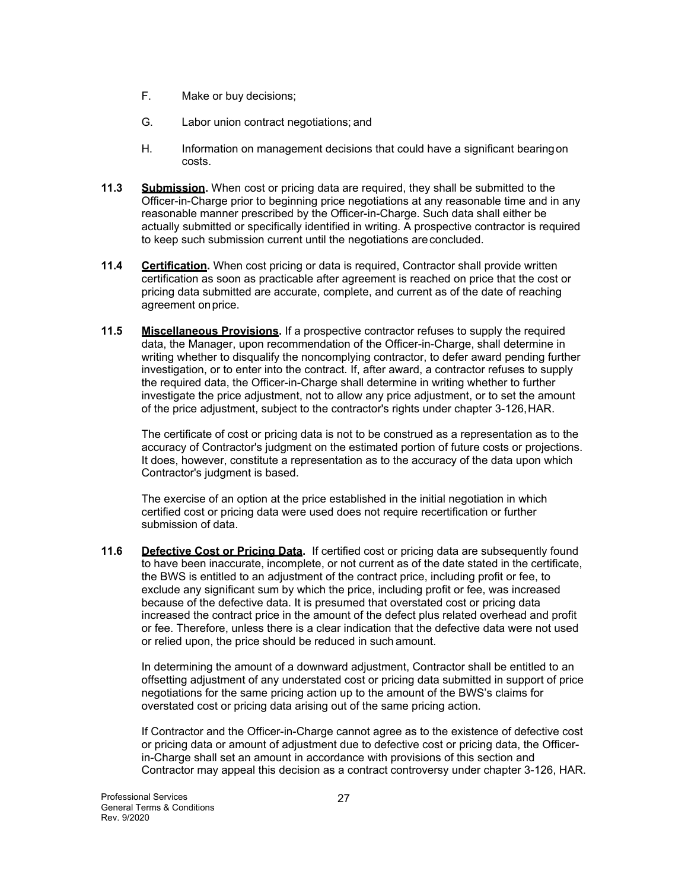- F. Make or buy decisions;
- G. Labor union contract negotiations; and
- H. Information on management decisions that could have a significant bearing on costs.
- **11.3 Submission.** When cost or pricing data are required, they shall be submitted to the Officer-in-Charge prior to beginning price negotiations at any reasonable time and in any reasonable manner prescribed by the Officer-in-Charge. Such data shall either be actually submitted or specifically identified in writing. A prospective contractor is required to keep such submission current until the negotiations are concluded.
- **11.4 Certification.** When cost pricing or data is required, Contractor shall provide written certification as soon as practicable after agreement is reached on price that the cost or pricing data submitted are accurate, complete, and current as of the date of reaching agreement on price.
- **11.5 Miscellaneous Provisions.** If a prospective contractor refuses to supply the required data, the Manager, upon recommendation of the Officer-in-Charge, shall determine in writing whether to disqualify the noncomplying contractor, to defer award pending further investigation, or to enter into the contract. If, after award, a contractor refuses to supply the required data, the Officer-in-Charge shall determine in writing whether to further investigate the price adjustment, not to allow any price adjustment, or to set the amount of the price adjustment, subject to the contractor's rights under chapter 3-126, HAR.

The certificate of cost or pricing data is not to be construed as a representation as to the accuracy of Contractor's judgment on the estimated portion of future costs or projections. It does, however, constitute a representation as to the accuracy of the data upon which Contractor's judgment is based.

The exercise of an option at the price established in the initial negotiation in which certified cost or pricing data were used does not require recertification or further submission of data.

11.6 Defective Cost or Pricing Data. If certified cost or pricing data are subsequently found to have been inaccurate, incomplete, or not current as of the date stated in the certificate, the BWS is entitled to an adjustment of the contract price, including profit or fee, to exclude any significant sum by which the price, including profit or fee, was increased because of the defective data. It is presumed that overstated cost or pricing data increased the contract price in the amount of the defect plus related overhead and profit or fee. Therefore, unless there is a clear indication that the defective data were not used or relied upon, the price should be reduced in such amount.

In determining the amount of a downward adjustment, Contractor shall be entitled to an offsetting adjustment of any understated cost or pricing data submitted in support of price negotiations for the same pricing action up to the amount of the BWS's claims for overstated cost or pricing data arising out of the same pricing action.

If Contractor and the Officer-in-Charge cannot agree as to the existence of defective cost or pricing data or amount of adjustment due to defective cost or pricing data, the Officerin-Charge shall set an amount in accordance with provisions of this section and Contractor may appeal this decision as a contract controversy under chapter 3-126, HAR.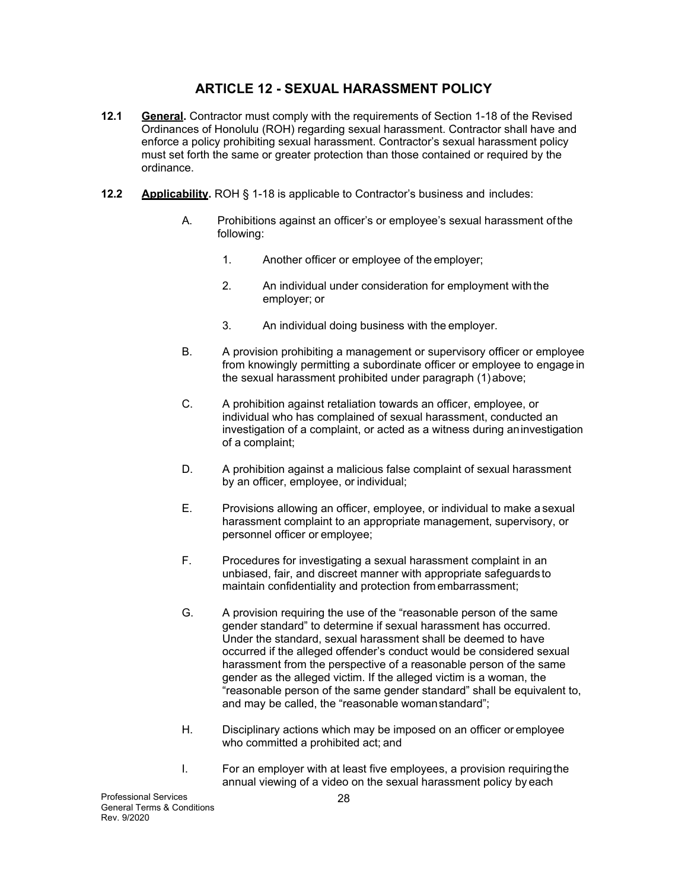## **ARTICLE 12 - SEXUAL HARASSMENT POLICY**

- **12.1 General.** Contractor must comply with the requirements of Section 1-18 of the Revised Ordinances of Honolulu (ROH) regarding sexual harassment. Contractor shall have and enforce a policy prohibiting sexual harassment. Contractor's sexual harassment policy must set forth the same or greater protection than those contained or required by the ordinance.
- **12.2 Applicability.** ROH § 1-18 is applicable to Contractor's business and includes:
	- A. Prohibitions against an officer's or employee's sexual harassment of the following:
		- 1. Another officer or employee of the employer;
		- 2. An individual under consideration for employment with the employer; or
		- 3. An individual doing business with the employer.
	- B. A provision prohibiting a management or supervisory officer or employee from knowingly permitting a subordinate officer or employee to engage in the sexual harassment prohibited under paragraph (1) above;
	- C. A prohibition against retaliation towards an officer, employee, or individual who has complained of sexual harassment, conducted an investigation of a complaint, or acted as a witness during an investigation of a complaint;
	- D. A prohibition against a malicious false complaint of sexual harassment by an officer, employee, or individual;
	- E. Provisions allowing an officer, employee, or individual to make a sexual harassment complaint to an appropriate management, supervisory, or personnel officer or employee;
	- F. Procedures for investigating a sexual harassment complaint in an unbiased, fair, and discreet manner with appropriate safeguards to maintain confidentiality and protection from embarrassment;
	- G. A provision requiring the use of the "reasonable person of the same gender standard" to determine if sexual harassment has occurred. Under the standard, sexual harassment shall be deemed to have occurred if the alleged offender's conduct would be considered sexual harassment from the perspective of a reasonable person of the same gender as the alleged victim. If the alleged victim is a woman, the "reasonable person of the same gender standard" shall be equivalent to, and may be called, the "reasonable woman standard";
	- H. Disciplinary actions which may be imposed on an officer or employee who committed a prohibited act; and
	- I. For an employer with at least five employees, a provision requiring the annual viewing of a video on the sexual harassment policy by each

Professional Services General Terms & Conditions Rev. 9/2020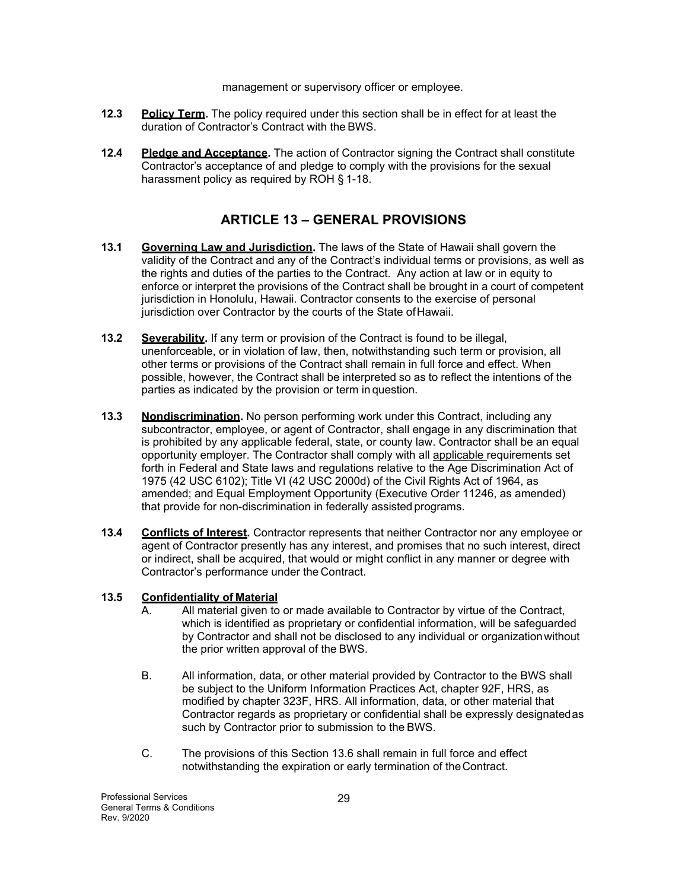management or supervisory officer or employee.

- **12.3 Policy Term.** The policy required under this section shall be in effect for at least the duration of Contractor's Contract with the BWS.
- **12.4 Pledge and Acceptance.** The action of Contractor signing the Contract shall constitute Contractor's acceptance of and pledge to comply with the provisions for the sexual harassment policy as required by ROH § 1-18.

## **ARTICLE 13 – GENERAL PROVISIONS**

- **13.1 Governing Law and Jurisdiction.** The laws of the State of Hawaii shall govern the validity of the Contract and any of the Contract's individual terms or provisions, as well as the rights and duties of the parties to the Contract. Any action at law or in equity to enforce or interpret the provisions of the Contract shall be brought in a court of competent jurisdiction in Honolulu, Hawaii. Contractor consents to the exercise of personal jurisdiction over Contractor by the courts of the State of Hawaii.
- **13.2 Severability.** If any term or provision of the Contract is found to be illegal, unenforceable, or in violation of law, then, notwithstanding such term or provision, all other terms or provisions of the Contract shall remain in full force and effect. When possible, however, the Contract shall be interpreted so as to reflect the intentions of the parties as indicated by the provision or term in question.
- **13.3 Nondiscrimination.** No person performing work under this Contract, including any subcontractor, employee, or agent of Contractor, shall engage in any discrimination that is prohibited by any applicable federal, state, or county law. Contractor shall be an equal opportunity employer. The Contractor shall comply with all applicable requirements set forth in Federal and State laws and regulations relative to the Age Discrimination Act of 1975 (42 USC 6102); Title VI (42 USC 2000d) of the Civil Rights Act of 1964, as amended; and Equal Employment Opportunity (Executive Order 11246, as amended) that provide for non-discrimination in federally assisted programs.
- **13.4 Conflicts of Interest.** Contractor represents that neither Contractor nor any employee or agent of Contractor presently has any interest, and promises that no such interest, direct or indirect, shall be acquired, that would or might conflict in any manner or degree with Contractor's performance under the Contract.

## **13.5 Confidentiality of Material**

- A. All material given to or made available to Contractor by virtue of the Contract, which is identified as proprietary or confidential information, will be safeguarded by Contractor and shall not be disclosed to any individual or organization without the prior written approval of the BWS.
- B. All information, data, or other material provided by Contractor to the BWS shall be subject to the Uniform Information Practices Act, chapter 92F, HRS, as modified by chapter 323F, HRS. All information, data, or other material that Contractor regards as proprietary or confidential shall be expressly designated as such by Contractor prior to submission to the BWS.
- C. The provisions of this Section 13.6 shall remain in full force and effect notwithstanding the expiration or early termination of the Contract.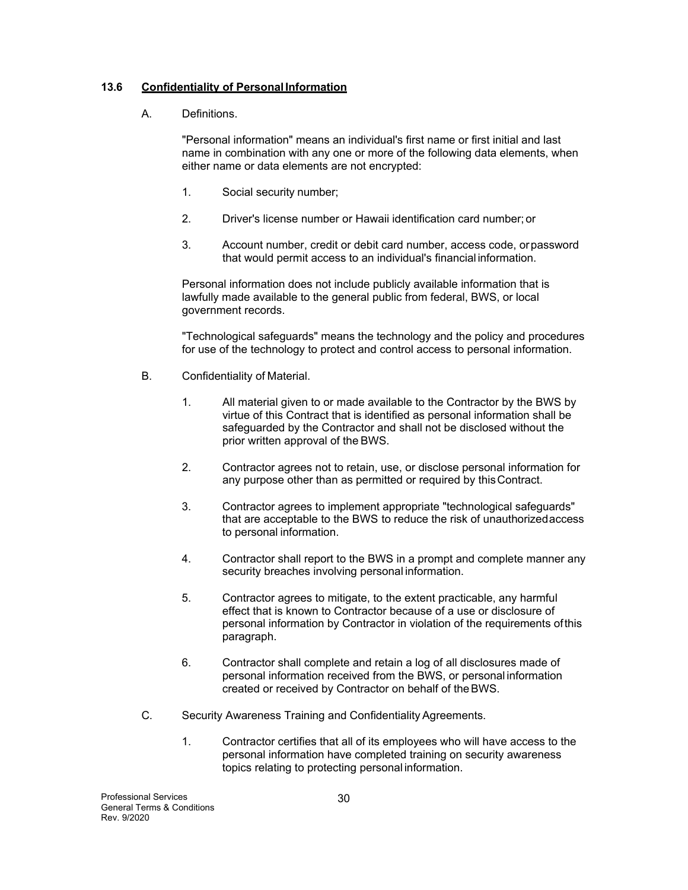## **13.6 Confidentiality of Personal Information**

A. Definitions.

"Personal information" means an individual's first name or first initial and last name in combination with any one or more of the following data elements, when either name or data elements are not encrypted:

- 1. Social security number;
- 2. Driver's license number or Hawaii identification card number; or
- 3. Account number, credit or debit card number, access code, or password that would permit access to an individual's financial information.

Personal information does not include publicly available information that is lawfully made available to the general public from federal, BWS, or local government records.

"Technological safeguards" means the technology and the policy and procedures for use of the technology to protect and control access to personal information.

- B. Confidentiality of Material.
	- 1. All material given to or made available to the Contractor by the BWS by virtue of this Contract that is identified as personal information shall be safeguarded by the Contractor and shall not be disclosed without the prior written approval of the BWS.
	- 2. Contractor agrees not to retain, use, or disclose personal information for any purpose other than as permitted or required by this Contract.
	- 3. Contractor agrees to implement appropriate "technological safeguards" that are acceptable to the BWS to reduce the risk of unauthorized access to personal information.
	- 4. Contractor shall report to the BWS in a prompt and complete manner any security breaches involving personal information.
	- 5. Contractor agrees to mitigate, to the extent practicable, any harmful effect that is known to Contractor because of a use or disclosure of personal information by Contractor in violation of the requirements of this paragraph.
	- 6. Contractor shall complete and retain a log of all disclosures made of personal information received from the BWS, or personal information created or received by Contractor on behalf of the BWS.
- C. Security Awareness Training and Confidentiality Agreements.
	- 1. Contractor certifies that all of its employees who will have access to the personal information have completed training on security awareness topics relating to protecting personal information.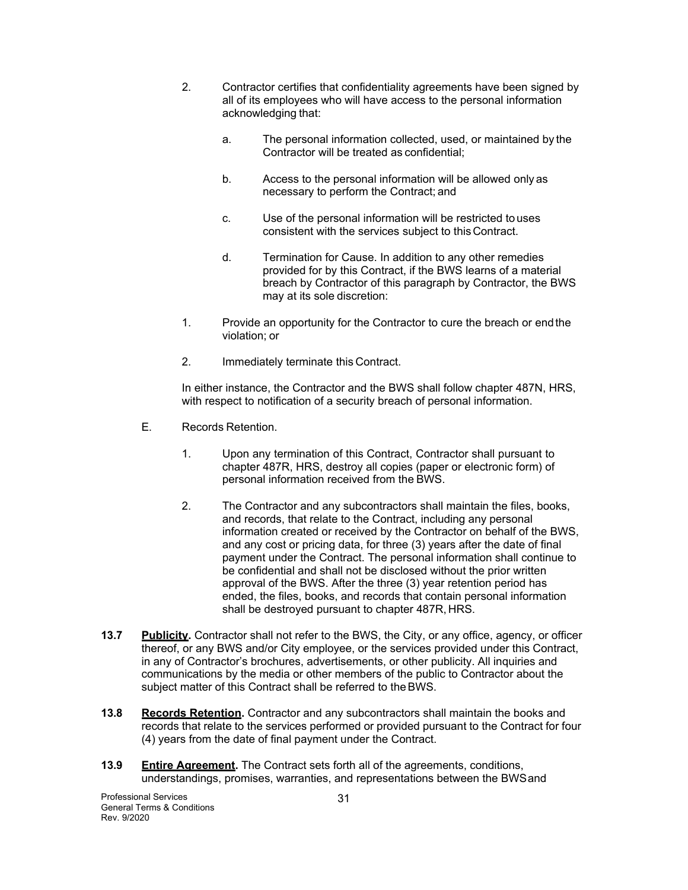- 2. Contractor certifies that confidentiality agreements have been signed by all of its employees who will have access to the personal information acknowledging that:
	- a. The personal information collected, used, or maintained by the Contractor will be treated as confidential;
	- b. Access to the personal information will be allowed only as necessary to perform the Contract; and
	- c. Use of the personal information will be restricted to uses consistent with the services subject to this Contract.
	- d. Termination for Cause. In addition to any other remedies provided for by this Contract, if the BWS learns of a material breach by Contractor of this paragraph by Contractor, the BWS may at its sole discretion:
- 1. Provide an opportunity for the Contractor to cure the breach or end the violation; or
- 2. Immediately terminate this Contract.

In either instance, the Contractor and the BWS shall follow chapter 487N, HRS, with respect to notification of a security breach of personal information.

- E. Records Retention.
	- 1. Upon any termination of this Contract, Contractor shall pursuant to chapter 487R, HRS, destroy all copies (paper or electronic form) of personal information received from the BWS.
	- 2. The Contractor and any subcontractors shall maintain the files, books, and records, that relate to the Contract, including any personal information created or received by the Contractor on behalf of the BWS, and any cost or pricing data, for three (3) years after the date of final payment under the Contract. The personal information shall continue to be confidential and shall not be disclosed without the prior written approval of the BWS. After the three (3) year retention period has ended, the files, books, and records that contain personal information shall be destroyed pursuant to chapter 487R, HRS.
- **13.7 Publicity.** Contractor shall not refer to the BWS, the City, or any office, agency, or officer thereof, or any BWS and/or City employee, or the services provided under this Contract, in any of Contractor's brochures, advertisements, or other publicity. All inquiries and communications by the media or other members of the public to Contractor about the subject matter of this Contract shall be referred to the BWS.
- **13.8 Records Retention.** Contractor and any subcontractors shall maintain the books and records that relate to the services performed or provided pursuant to the Contract for four (4) years from the date of final payment under the Contract.
- **13.9 Entire Agreement.** The Contract sets forth all of the agreements, conditions, understandings, promises, warranties, and representations between the BWS and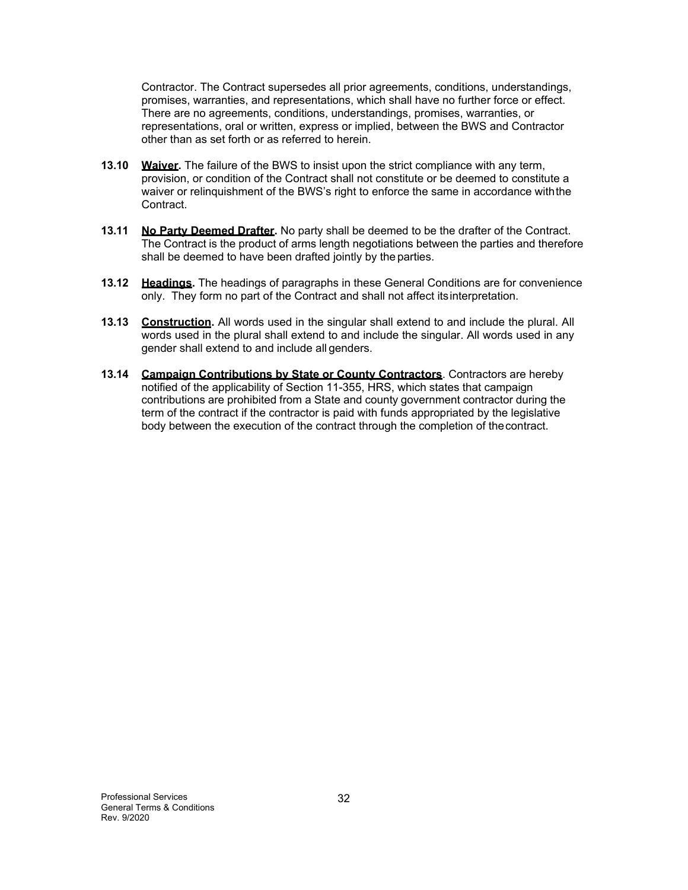Contractor. The Contract supersedes all prior agreements, conditions, understandings, promises, warranties, and representations, which shall have no further force or effect. There are no agreements, conditions, understandings, promises, warranties, or representations, oral or written, express or implied, between the BWS and Contractor other than as set forth or as referred to herein.

- **13.10 Waiver.** The failure of the BWS to insist upon the strict compliance with any term, provision, or condition of the Contract shall not constitute or be deemed to constitute a waiver or relinquishment of the BWS's right to enforce the same in accordance with the Contract.
- **13.11 No Party Deemed Drafter.** No party shall be deemed to be the drafter of the Contract. The Contract is the product of arms length negotiations between the parties and therefore shall be deemed to have been drafted jointly by the parties.
- **13.12 Headings.** The headings of paragraphs in these General Conditions are for convenience only. They form no part of the Contract and shall not affect its interpretation.
- **13.13 Construction.** All words used in the singular shall extend to and include the plural. All words used in the plural shall extend to and include the singular. All words used in any gender shall extend to and include all genders.
- **13.14 Campaign Contributions by State or County Contractors**. Contractors are hereby notified of the applicability of Section 11-355, HRS, which states that campaign contributions are prohibited from a State and county government contractor during the term of the contract if the contractor is paid with funds appropriated by the legislative body between the execution of the contract through the completion of the contract.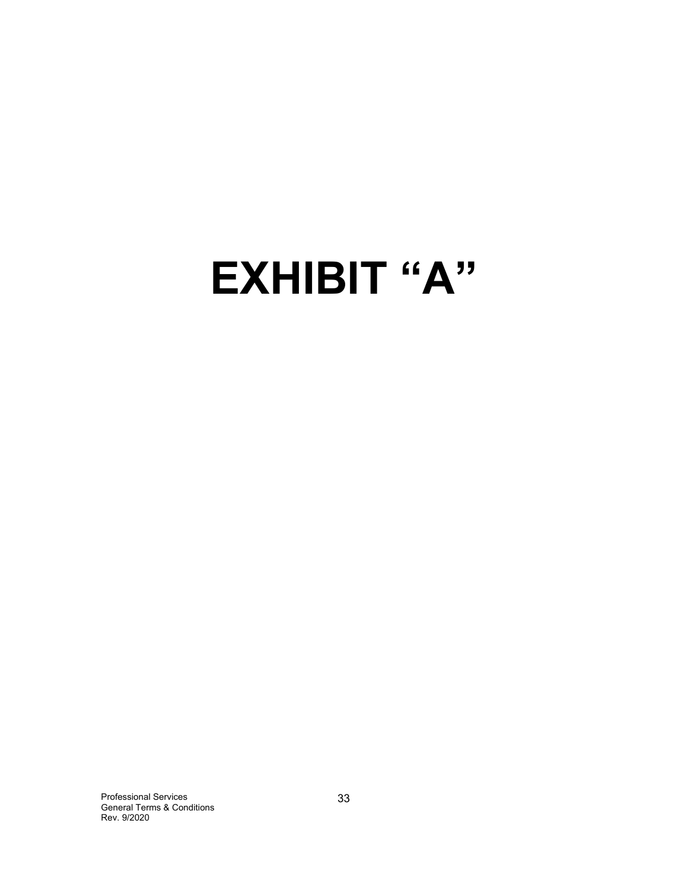# **EXHIBIT "A"**

Professional Services General Terms & Conditions Rev. 9/2020